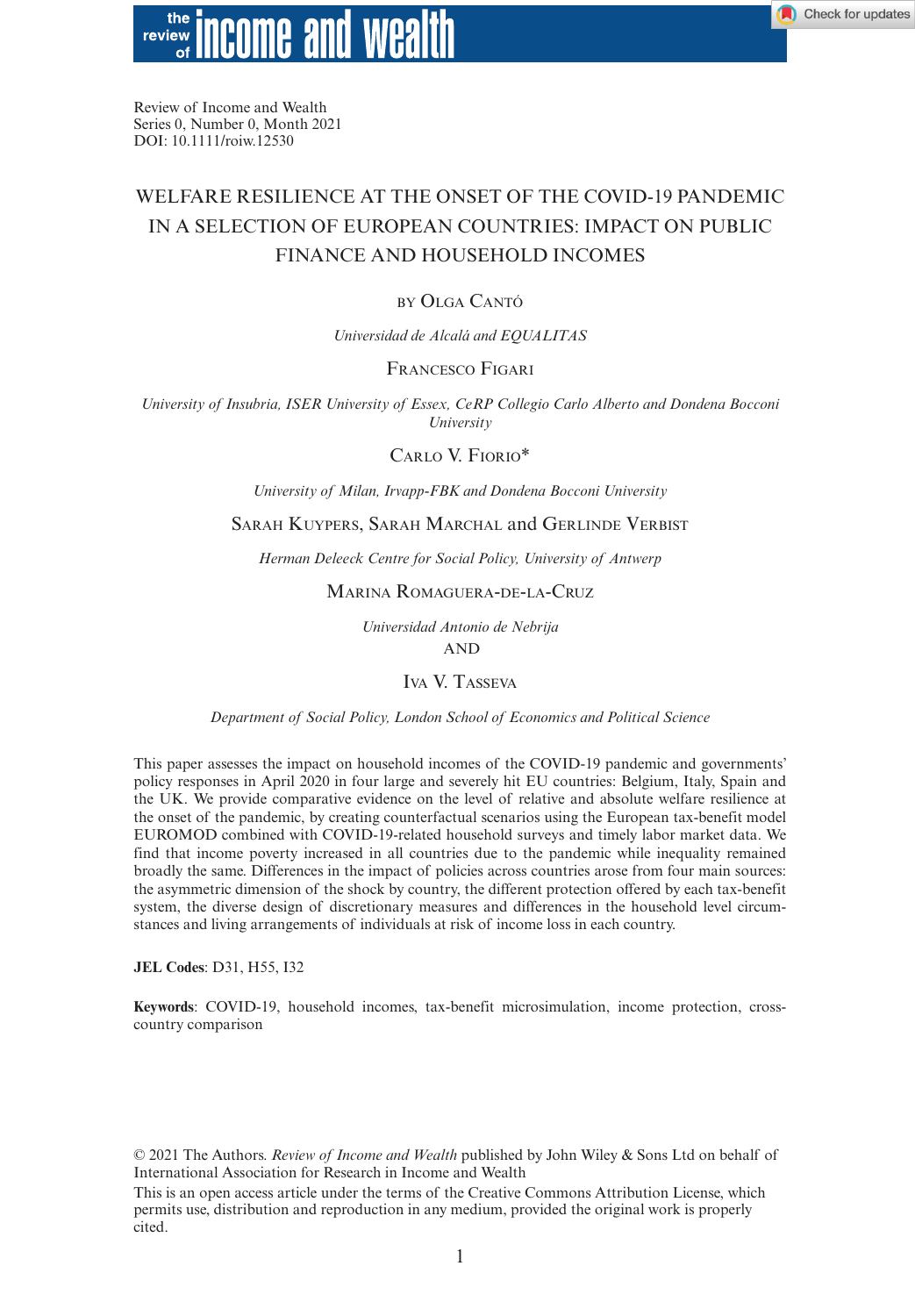

Review of Income and Wealth Series 0, Number 0, Month 2021 DOI: 10.1111/roiw.12530

# WELFARE RESILIENCE AT THE ONSET OF THE COVID-19 PANDEMIC IN A SELECTION OF EUROPEAN COUNTRIES: IMPACT ON PUBLIC FINANCE AND HOUSEHOLD INCOMES

## by Olga Cantó

*Universidad de Alcalá and EQUALITAS*

## Francesco Figari

*University of Insubria, ISER University of Essex, CeRP Collegio Carlo Alberto and Dondena Bocconi University*

Carlo V. Fiorio\*

*University of Milan, Irvapp-FBK and Dondena Bocconi University*

#### Sarah Kuypers, Sarah Marchal and Gerlinde Verbist

*Herman Deleeck Centre for Social Policy, University of Antwerp*

Marina Romaguera-de-la-Cruz

*Universidad Antonio de Nebrija*

AND

Iva V. Tasseva

*Department of Social Policy, London School of Economics and Political Science*

This paper assesses the impact on household incomes of the COVID-19 pandemic and governments' policy responses in April 2020 in four large and severely hit EU countries: Belgium, Italy, Spain and the UK. We provide comparative evidence on the level of relative and absolute welfare resilience at the onset of the pandemic, by creating counterfactual scenarios using the European tax-benefit model EUROMOD combined with COVID-19-related household surveys and timely labor market data. We find that income poverty increased in all countries due to the pandemic while inequality remained broadly the same. Differences in the impact of policies across countries arose from four main sources: the asymmetric dimension of the shock by country, the different protection offered by each tax-benefit system, the diverse design of discretionary measures and differences in the household level circumstances and living arrangements of individuals at risk of income loss in each country.

**JEL Codes**: D31, H55, I32

**Keywords**: COVID-19, household incomes, tax-benefit microsimulation, income protection, crosscountry comparison

© 2021 The Authors. *Review of Income and Wealth* published by John Wiley & Sons Ltd on behalf of International Association for Research in Income and Wealth

This is an open access article under the terms of the [Creative Commons Attribution](http://creativecommons.org/licenses/by/4.0/) License, which permits use, distribution and reproduction in any medium, provided the original work is properly cited.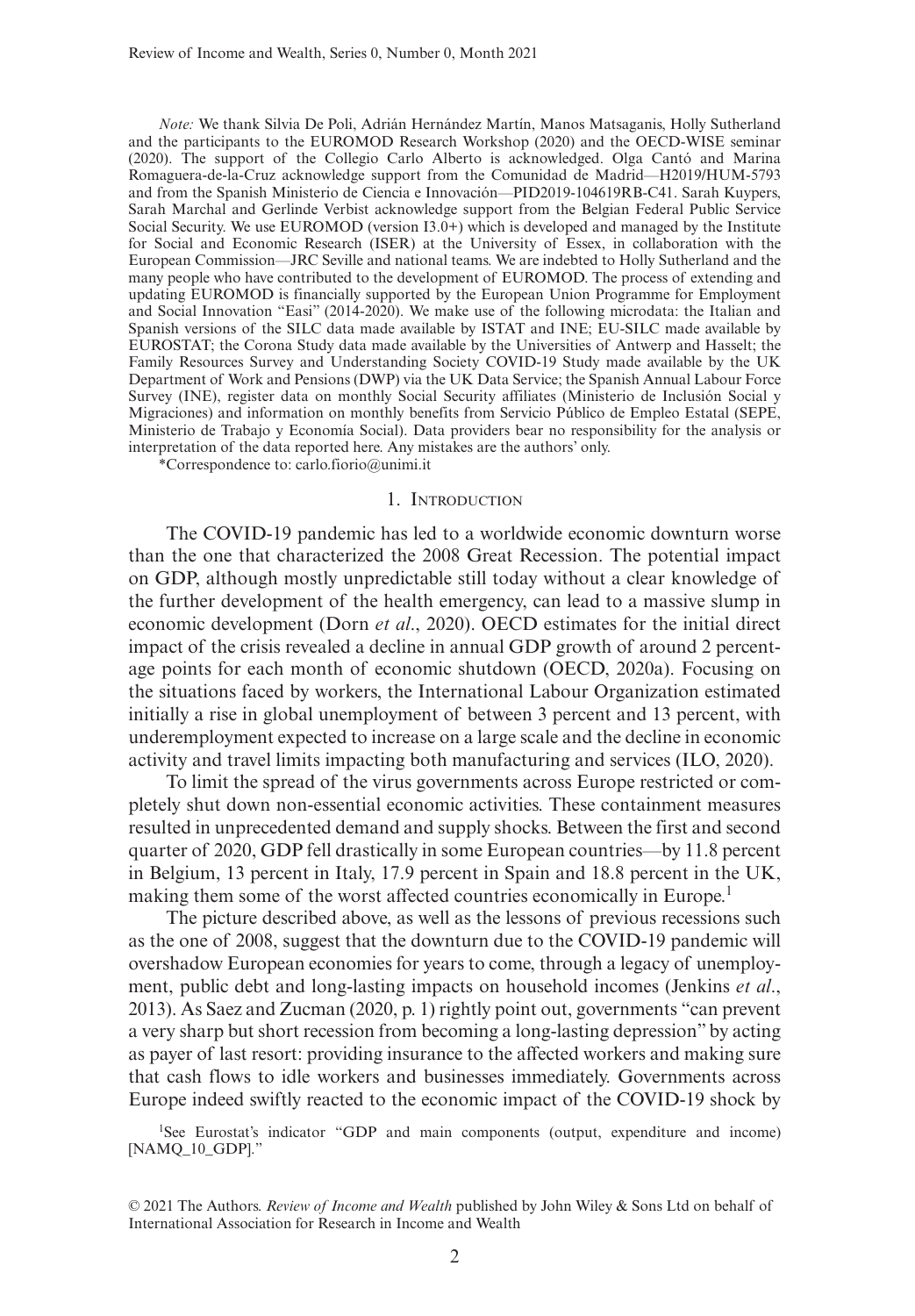*Note:* We thank Silvia De Poli, Adrián Hernández Martín, Manos Matsaganis, Holly Sutherland and the participants to the EUROMOD Research Workshop (2020) and the OECD-WISE seminar (2020). The support of the Collegio Carlo Alberto is acknowledged. Olga Cantó and Marina Romaguera-de-la-Cruz acknowledge support from the Comunidad de Madrid—H2019/HUM-5793 and from the Spanish Ministerio de Ciencia e Innovación—PID2019-104619RB-C41. Sarah Kuypers, Sarah Marchal and Gerlinde Verbist acknowledge support from the Belgian Federal Public Service Social Security. We use EUROMOD (version I3.0+) which is developed and managed by the Institute for Social and Economic Research (ISER) at the University of Essex, in collaboration with the European Commission—JRC Seville and national teams. We are indebted to Holly Sutherland and the many people who have contributed to the development of EUROMOD. The process of extending and updating EUROMOD is financially supported by the European Union Programme for Employment and Social Innovation "Easi" (2014-2020). We make use of the following microdata: the Italian and Spanish versions of the SILC data made available by ISTAT and INE; EU-SILC made available by EUROSTAT; the Corona Study data made available by the Universities of Antwerp and Hasselt; the Family Resources Survey and Understanding Society COVID-19 Study made available by the UK Department of Work and Pensions (DWP) via the UK Data Service; the Spanish Annual Labour Force Survey (INE), register data on monthly Social Security affiliates (Ministerio de Inclusión Social y Migraciones) and information on monthly benefits from Servicio Público de Empleo Estatal (SEPE, Ministerio de Trabajo y Economía Social). Data providers bear no responsibility for the analysis or interpretation of the data reported here. Any mistakes are the authors' only.

\*Correspondence to: [carlo.fiorio@unimi.it](mailto:carlo.fiorio@unimi.it)

## 1. Introduction

The COVID-19 pandemic has led to a worldwide economic downturn worse than the one that characterized the 2008 Great Recession. The potential impact on GDP, although mostly unpredictable still today without a clear knowledge of the further development of the health emergency, can lead to a massive slump in economic development (Dorn *et al*., 2020). OECD estimates for the initial direct impact of the crisis revealed a decline in annual GDP growth of around 2 percentage points for each month of economic shutdown (OECD, 2020a). Focusing on the situations faced by workers, the International Labour Organization estimated initially a rise in global unemployment of between 3 percent and 13 percent, with underemployment expected to increase on a large scale and the decline in economic activity and travel limits impacting both manufacturing and services (ILO, 2020).

To limit the spread of the virus governments across Europe restricted or completely shut down non-essential economic activities. These containment measures resulted in unprecedented demand and supply shocks. Between the first and second quarter of 2020, GDP fell drastically in some European countries—by 11.8 percent in Belgium, 13 percent in Italy, 17.9 percent in Spain and 18.8 percent in the UK, making them some of the worst affected countries economically in Europe.<sup>1</sup>

The picture described above, as well as the lessons of previous recessions such as the one of 2008, suggest that the downturn due to the COVID-19 pandemic will overshadow European economies for years to come, through a legacy of unemployment, public debt and long-lasting impacts on household incomes (Jenkins *et al*., 2013). As Saez and Zucman (2020, p. 1) rightly point out, governments "can prevent a very sharp but short recession from becoming a long-lasting depression" by acting as payer of last resort: providing insurance to the affected workers and making sure that cash flows to idle workers and businesses immediately. Governments across Europe indeed swiftly reacted to the economic impact of the COVID-19 shock by

1See Eurostat's indicator "GDP and main components (output, expenditure and income) [NAMQ\_10\_GDP]."

<sup>© 2021</sup> The Authors. *Review of Income and Wealth* published by John Wiley & Sons Ltd on behalf of International Association for Research in Income and Wealth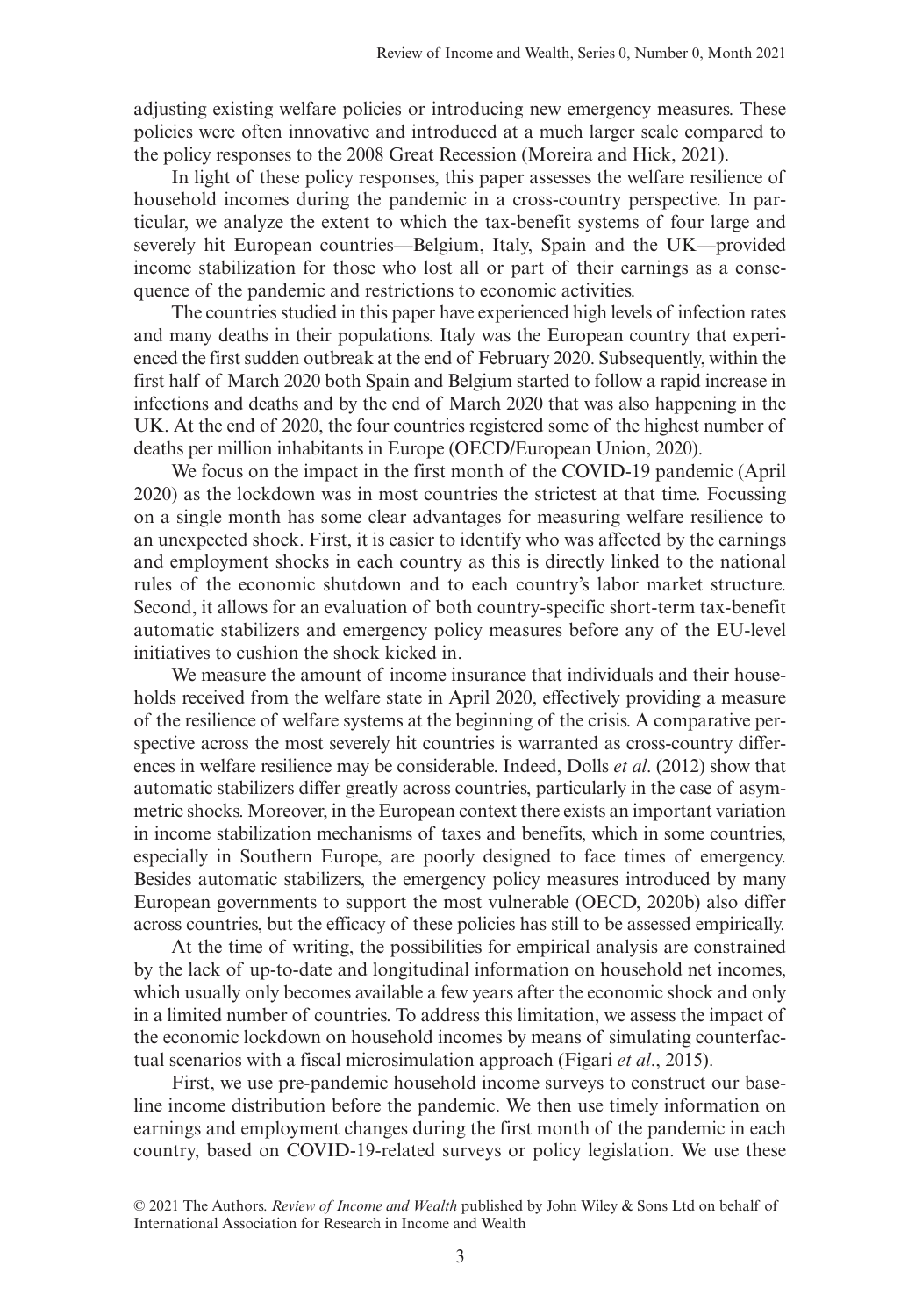adjusting existing welfare policies or introducing new emergency measures. These policies were often innovative and introduced at a much larger scale compared to the policy responses to the 2008 Great Recession (Moreira and Hick, 2021).

In light of these policy responses, this paper assesses the welfare resilience of household incomes during the pandemic in a cross-country perspective. In particular, we analyze the extent to which the tax-benefit systems of four large and severely hit European countries—Belgium, Italy, Spain and the UK—provided income stabilization for those who lost all or part of their earnings as a consequence of the pandemic and restrictions to economic activities.

The countries studied in this paper have experienced high levels of infection rates and many deaths in their populations. Italy was the European country that experienced the first sudden outbreak at the end of February 2020. Subsequently, within the first half of March 2020 both Spain and Belgium started to follow a rapid increase in infections and deaths and by the end of March 2020 that was also happening in the UK. At the end of 2020, the four countries registered some of the highest number of deaths per million inhabitants in Europe (OECD/European Union, 2020).

We focus on the impact in the first month of the COVID-19 pandemic (April 2020) as the lockdown was in most countries the strictest at that time. Focussing on a single month has some clear advantages for measuring welfare resilience to an unexpected shock. First, it is easier to identify who was affected by the earnings and employment shocks in each country as this is directly linked to the national rules of the economic shutdown and to each country's labor market structure. Second, it allows for an evaluation of both country-specific short-term tax-benefit automatic stabilizers and emergency policy measures before any of the EU-level initiatives to cushion the shock kicked in.

We measure the amount of income insurance that individuals and their households received from the welfare state in April 2020, effectively providing a measure of the resilience of welfare systems at the beginning of the crisis. A comparative perspective across the most severely hit countries is warranted as cross-country differences in welfare resilience may be considerable. Indeed, Dolls *et al*. (2012) show that automatic stabilizers differ greatly across countries, particularly in the case of asymmetric shocks. Moreover, in the European context there exists an important variation in income stabilization mechanisms of taxes and benefits, which in some countries, especially in Southern Europe, are poorly designed to face times of emergency. Besides automatic stabilizers, the emergency policy measures introduced by many European governments to support the most vulnerable (OECD, 2020b) also differ across countries, but the efficacy of these policies has still to be assessed empirically.

At the time of writing, the possibilities for empirical analysis are constrained by the lack of up-to-date and longitudinal information on household net incomes, which usually only becomes available a few years after the economic shock and only in a limited number of countries. To address this limitation, we assess the impact of the economic lockdown on household incomes by means of simulating counterfactual scenarios with a fiscal microsimulation approach (Figari *et al*., 2015).

First, we use pre-pandemic household income surveys to construct our baseline income distribution before the pandemic. We then use timely information on earnings and employment changes during the first month of the pandemic in each country, based on COVID-19-related surveys or policy legislation. We use these

<sup>© 2021</sup> The Authors. *Review of Income and Wealth* published by John Wiley & Sons Ltd on behalf of International Association for Research in Income and Wealth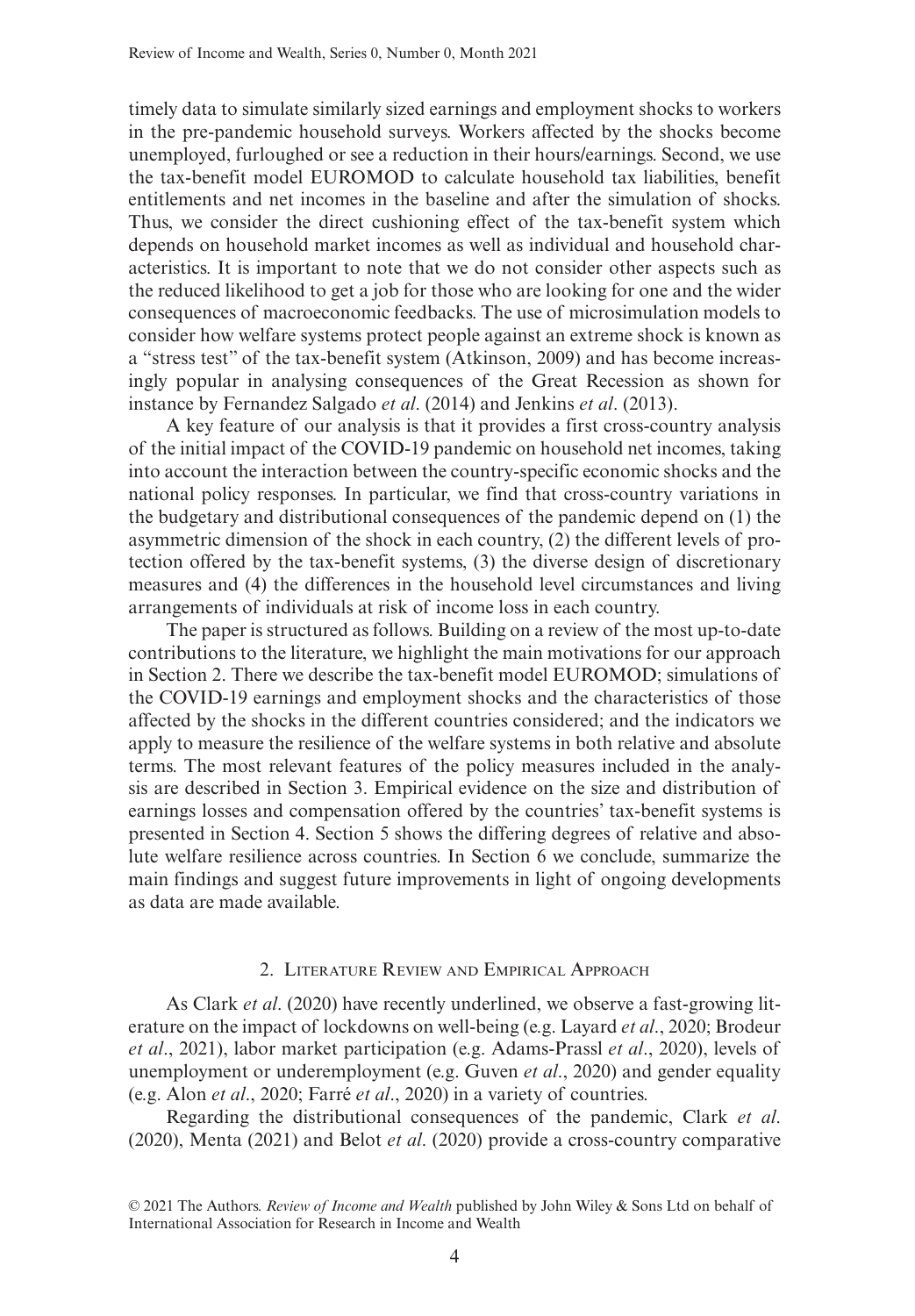timely data to simulate similarly sized earnings and employment shocks to workers in the pre-pandemic household surveys. Workers affected by the shocks become unemployed, furloughed or see a reduction in their hours/earnings. Second, we use the tax-benefit model EUROMOD to calculate household tax liabilities, benefit entitlements and net incomes in the baseline and after the simulation of shocks. Thus, we consider the direct cushioning effect of the tax-benefit system which depends on household market incomes as well as individual and household characteristics. It is important to note that we do not consider other aspects such as the reduced likelihood to get a job for those who are looking for one and the wider consequences of macroeconomic feedbacks. The use of microsimulation models to consider how welfare systems protect people against an extreme shock is known as a "stress test" of the tax-benefit system (Atkinson, 2009) and has become increasingly popular in analysing consequences of the Great Recession as shown for instance by Fernandez Salgado *et al*. (2014) and Jenkins *et al*. (2013).

A key feature of our analysis is that it provides a first cross-country analysis of the initial impact of the COVID-19 pandemic on household net incomes, taking into account the interaction between the country-specific economic shocks and the national policy responses. In particular, we find that cross-country variations in the budgetary and distributional consequences of the pandemic depend on (1) the asymmetric dimension of the shock in each country, (2) the different levels of protection offered by the tax-benefit systems, (3) the diverse design of discretionary measures and (4) the differences in the household level circumstances and living arrangements of individuals at risk of income loss in each country.

The paper is structured as follows. Building on a review of the most up-to-date contributions to the literature, we highlight the main motivations for our approach in Section 2. There we describe the tax-benefit model EUROMOD; simulations of the COVID-19 earnings and employment shocks and the characteristics of those affected by the shocks in the different countries considered; and the indicators we apply to measure the resilience of the welfare systems in both relative and absolute terms. The most relevant features of the policy measures included in the analysis are described in Section 3. Empirical evidence on the size and distribution of earnings losses and compensation offered by the countries' tax-benefit systems is presented in Section 4. Section 5 shows the differing degrees of relative and absolute welfare resilience across countries. In Section 6 we conclude, summarize the main findings and suggest future improvements in light of ongoing developments as data are made available.

## 2. Literature Review and Empirical Approach

As Clark *et al*. (2020) have recently underlined, we observe a fast-growing literature on the impact of lockdowns on well-being (e.g. Layard *et al*., 2020; Brodeur *et al*., 2021), labor market participation (e.g. Adams-Prassl *et al*., 2020), levels of unemployment or underemployment (e.g. Guven *et al*., 2020) and gender equality (e.g. Alon *et al*., 2020; Farré *et al*., 2020) in a variety of countries.

Regarding the distributional consequences of the pandemic, Clark *et al*. (2020), Menta (2021) and Belot *et al*. (2020) provide a cross-country comparative

<sup>© 2021</sup> The Authors. *Review of Income and Wealth* published by John Wiley & Sons Ltd on behalf of International Association for Research in Income and Wealth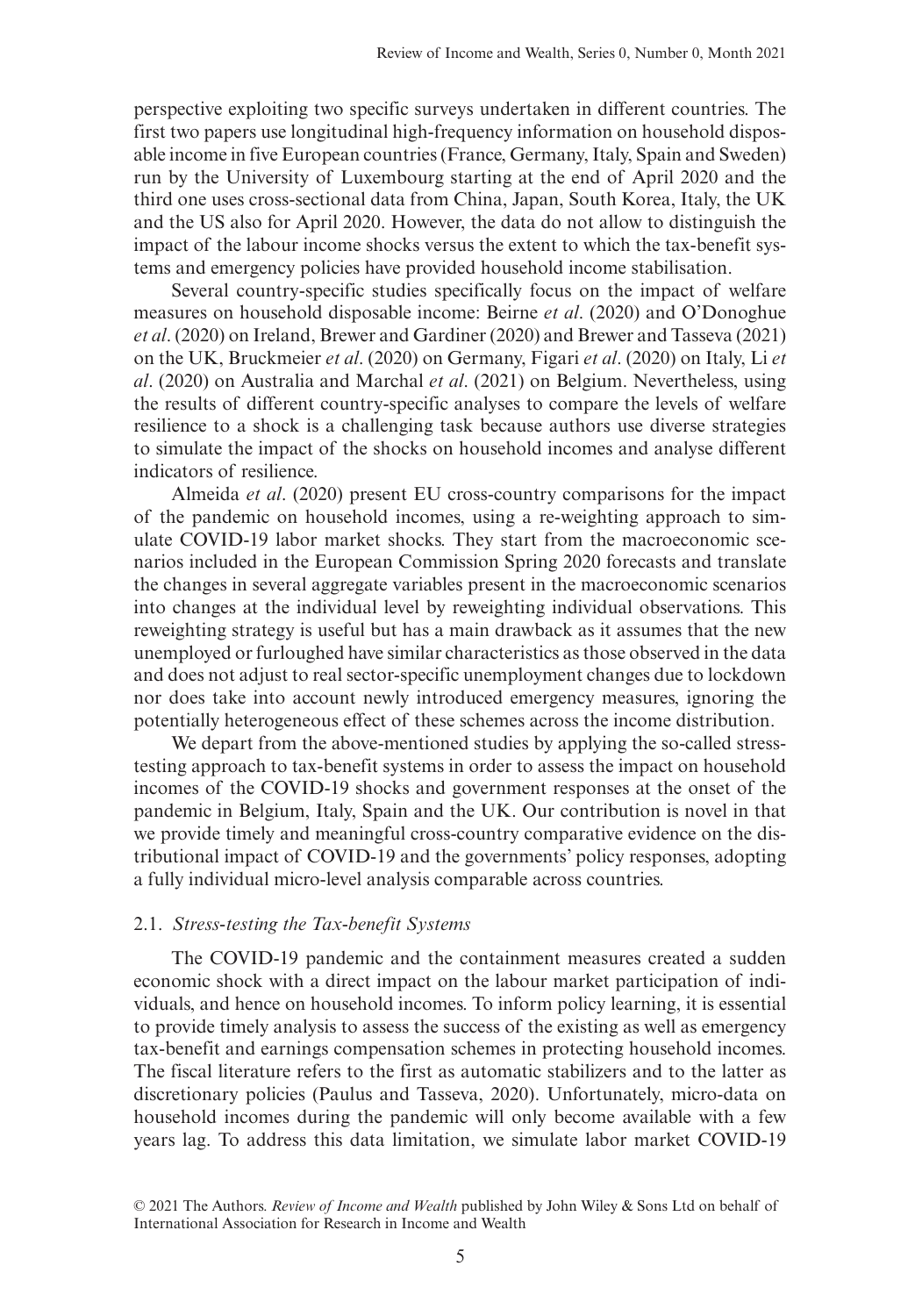perspective exploiting two specific surveys undertaken in different countries. The first two papers use longitudinal high-frequency information on household disposable income in five European countries (France, Germany, Italy, Spain and Sweden) run by the University of Luxembourg starting at the end of April 2020 and the third one uses cross-sectional data from China, Japan, South Korea, Italy, the UK and the US also for April 2020. However, the data do not allow to distinguish the impact of the labour income shocks versus the extent to which the tax-benefit systems and emergency policies have provided household income stabilisation.

Several country-specific studies specifically focus on the impact of welfare measures on household disposable income: Beirne *et al*. (2020) and O'Donoghue *et al*. (2020) on Ireland, Brewer and Gardiner (2020) and Brewer and Tasseva (2021) on the UK, Bruckmeier *et al*. (2020) on Germany, Figari *et al*. (2020) on Italy, Li *et al*. (2020) on Australia and Marchal *et al*. (2021) on Belgium. Nevertheless, using the results of different country-specific analyses to compare the levels of welfare resilience to a shock is a challenging task because authors use diverse strategies to simulate the impact of the shocks on household incomes and analyse different indicators of resilience.

Almeida *et al*. (2020) present EU cross-country comparisons for the impact of the pandemic on household incomes, using a re-weighting approach to simulate COVID-19 labor market shocks. They start from the macroeconomic scenarios included in the European Commission Spring 2020 forecasts and translate the changes in several aggregate variables present in the macroeconomic scenarios into changes at the individual level by reweighting individual observations. This reweighting strategy is useful but has a main drawback as it assumes that the new unemployed or furloughed have similar characteristics as those observed in the data and does not adjust to real sector-specific unemployment changes due to lockdown nor does take into account newly introduced emergency measures, ignoring the potentially heterogeneous effect of these schemes across the income distribution.

We depart from the above-mentioned studies by applying the so-called stresstesting approach to tax-benefit systems in order to assess the impact on household incomes of the COVID-19 shocks and government responses at the onset of the pandemic in Belgium, Italy, Spain and the UK. Our contribution is novel in that we provide timely and meaningful cross-country comparative evidence on the distributional impact of COVID-19 and the governments' policy responses, adopting a fully individual micro-level analysis comparable across countries.

#### 2.1. *Stress-testing the Tax-benefit Systems*

The COVID-19 pandemic and the containment measures created a sudden economic shock with a direct impact on the labour market participation of individuals, and hence on household incomes. To inform policy learning, it is essential to provide timely analysis to assess the success of the existing as well as emergency tax-benefit and earnings compensation schemes in protecting household incomes. The fiscal literature refers to the first as automatic stabilizers and to the latter as discretionary policies (Paulus and Tasseva, 2020). Unfortunately, micro-data on household incomes during the pandemic will only become available with a few years lag. To address this data limitation, we simulate labor market COVID-19

<sup>© 2021</sup> The Authors. *Review of Income and Wealth* published by John Wiley & Sons Ltd on behalf of International Association for Research in Income and Wealth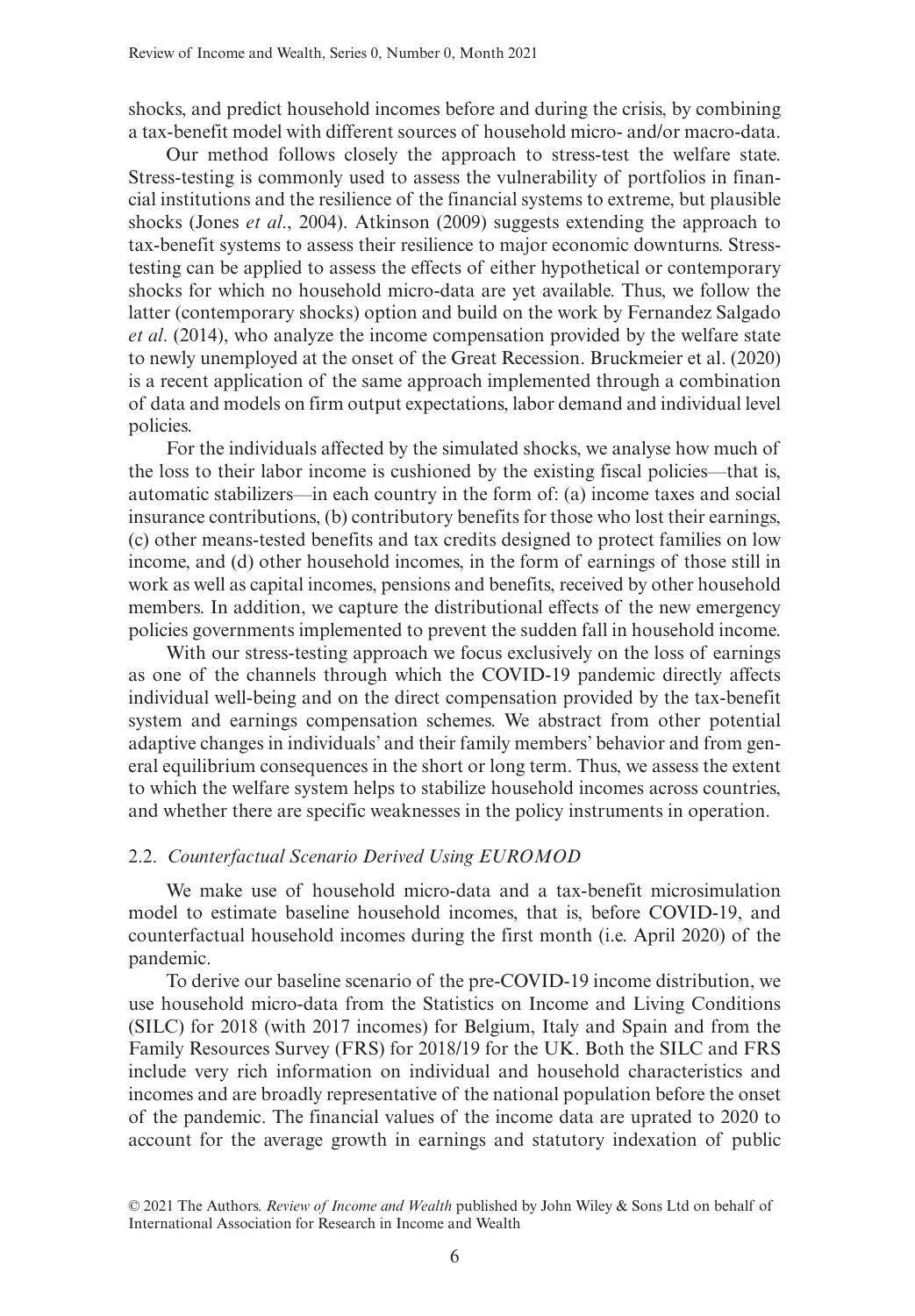shocks, and predict household incomes before and during the crisis, by combining a tax-benefit model with different sources of household micro- and/or macro-data.

Our method follows closely the approach to stress-test the welfare state. Stress-testing is commonly used to assess the vulnerability of portfolios in financial institutions and the resilience of the financial systems to extreme, but plausible shocks (Jones *et al*., 2004). Atkinson (2009) suggests extending the approach to tax-benefit systems to assess their resilience to major economic downturns. Stresstesting can be applied to assess the effects of either hypothetical or contemporary shocks for which no household micro-data are yet available. Thus, we follow the latter (contemporary shocks) option and build on the work by Fernandez Salgado *et al*. (2014), who analyze the income compensation provided by the welfare state to newly unemployed at the onset of the Great Recession. Bruckmeier et al. (2020) is a recent application of the same approach implemented through a combination of data and models on firm output expectations, labor demand and individual level policies.

For the individuals affected by the simulated shocks, we analyse how much of the loss to their labor income is cushioned by the existing fiscal policies—that is, automatic stabilizers—in each country in the form of: (a) income taxes and social insurance contributions, (b) contributory benefits for those who lost their earnings, (c) other means-tested benefits and tax credits designed to protect families on low income, and (d) other household incomes, in the form of earnings of those still in work as well as capital incomes, pensions and benefits, received by other household members. In addition, we capture the distributional effects of the new emergency policies governments implemented to prevent the sudden fall in household income.

With our stress-testing approach we focus exclusively on the loss of earnings as one of the channels through which the COVID-19 pandemic directly affects individual well-being and on the direct compensation provided by the tax-benefit system and earnings compensation schemes. We abstract from other potential adaptive changes in individuals' and their family members' behavior and from general equilibrium consequences in the short or long term. Thus, we assess the extent to which the welfare system helps to stabilize household incomes across countries, and whether there are specific weaknesses in the policy instruments in operation.

## 2.2. *Counterfactual Scenario Derived Using EUROMOD*

We make use of household micro-data and a tax-benefit microsimulation model to estimate baseline household incomes, that is, before COVID-19, and counterfactual household incomes during the first month (i.e. April 2020) of the pandemic.

To derive our baseline scenario of the pre-COVID-19 income distribution, we use household micro-data from the Statistics on Income and Living Conditions (SILC) for 2018 (with 2017 incomes) for Belgium, Italy and Spain and from the Family Resources Survey (FRS) for 2018/19 for the UK. Both the SILC and FRS include very rich information on individual and household characteristics and incomes and are broadly representative of the national population before the onset of the pandemic. The financial values of the income data are uprated to 2020 to account for the average growth in earnings and statutory indexation of public

<sup>© 2021</sup> The Authors. *Review of Income and Wealth* published by John Wiley & Sons Ltd on behalf of International Association for Research in Income and Wealth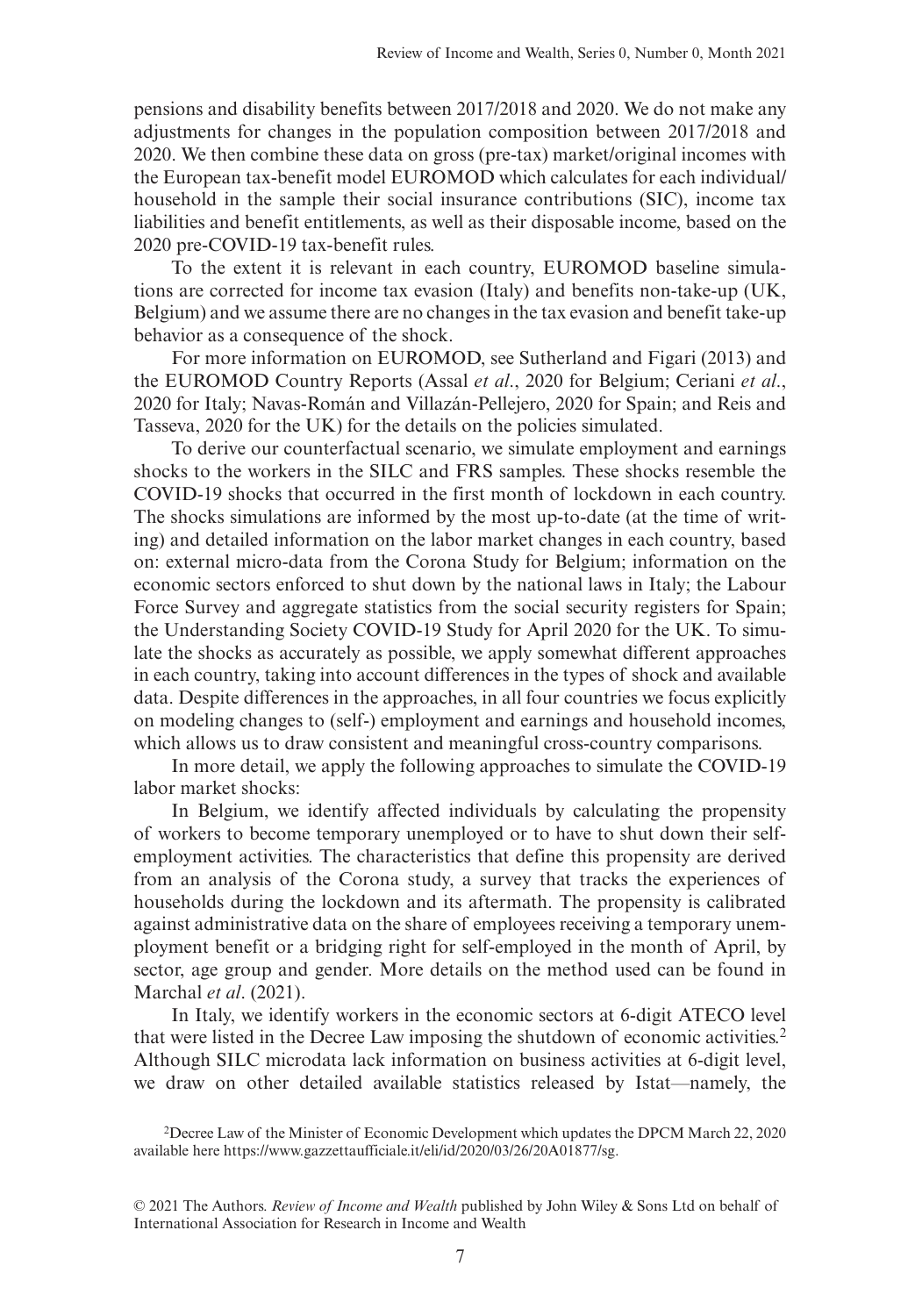pensions and disability benefits between 2017/2018 and 2020. We do not make any adjustments for changes in the population composition between 2017/2018 and 2020. We then combine these data on gross (pre-tax) market/original incomes with the European tax-benefit model EUROMOD which calculates for each individual/ household in the sample their social insurance contributions (SIC), income tax liabilities and benefit entitlements, as well as their disposable income, based on the 2020 pre-COVID-19 tax-benefit rules.

To the extent it is relevant in each country, EUROMOD baseline simulations are corrected for income tax evasion (Italy) and benefits non-take-up (UK, Belgium) and we assume there are no changes in the tax evasion and benefit take-up behavior as a consequence of the shock.

For more information on EUROMOD, see Sutherland and Figari (2013) and the EUROMOD Country Reports (Assal *et al*., 2020 for Belgium; Ceriani *et al*., 2020 for Italy; Navas-Román and Villazán-Pellejero, 2020 for Spain; and Reis and Tasseva, 2020 for the UK) for the details on the policies simulated.

To derive our counterfactual scenario, we simulate employment and earnings shocks to the workers in the SILC and FRS samples. These shocks resemble the COVID-19 shocks that occurred in the first month of lockdown in each country. The shocks simulations are informed by the most up-to-date (at the time of writing) and detailed information on the labor market changes in each country, based on: external micro-data from the Corona Study for Belgium; information on the economic sectors enforced to shut down by the national laws in Italy; the Labour Force Survey and aggregate statistics from the social security registers for Spain; the Understanding Society COVID-19 Study for April 2020 for the UK. To simulate the shocks as accurately as possible, we apply somewhat different approaches in each country, taking into account differences in the types of shock and available data. Despite differences in the approaches, in all four countries we focus explicitly on modeling changes to (self-) employment and earnings and household incomes, which allows us to draw consistent and meaningful cross-country comparisons.

In more detail, we apply the following approaches to simulate the COVID-19 labor market shocks:

In Belgium, we identify affected individuals by calculating the propensity of workers to become temporary unemployed or to have to shut down their selfemployment activities. The characteristics that define this propensity are derived from an analysis of the Corona study, a survey that tracks the experiences of households during the lockdown and its aftermath. The propensity is calibrated against administrative data on the share of employees receiving a temporary unemployment benefit or a bridging right for self-employed in the month of April, by sector, age group and gender. More details on the method used can be found in Marchal *et al*. (2021).

In Italy, we identify workers in the economic sectors at 6-digit ATECO level that were listed in the Decree Law imposing the shutdown of economic activities.2 Although SILC microdata lack information on business activities at 6-digit level, we draw on other detailed available statistics released by Istat—namely, the

<sup>2</sup>Decree Law of the Minister of Economic Development which updates the DPCM March 22, 2020 available here [https://www.gazzettaufficiale.it/eli/id/2020/03/26/20A01877/sg.](https://www.gazzettaufficiale.it/eli/id/2020/03/26/20A01877/sg)

<sup>© 2021</sup> The Authors. *Review of Income and Wealth* published by John Wiley & Sons Ltd on behalf of International Association for Research in Income and Wealth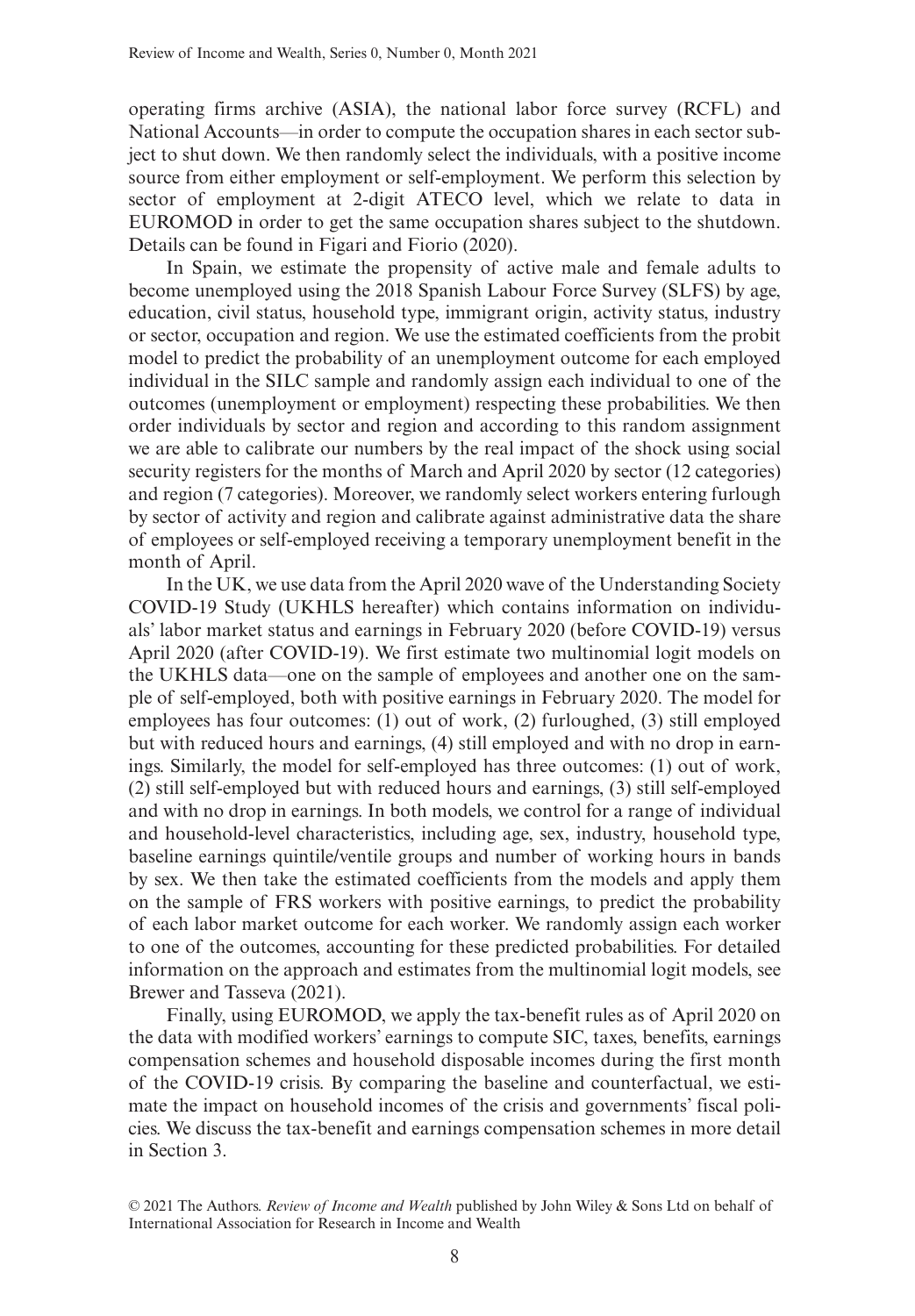operating firms archive (ASIA), the national labor force survey (RCFL) and National Accounts—in order to compute the occupation shares in each sector subject to shut down. We then randomly select the individuals, with a positive income source from either employment or self-employment. We perform this selection by sector of employment at 2-digit ATECO level, which we relate to data in EUROMOD in order to get the same occupation shares subject to the shutdown. Details can be found in Figari and Fiorio (2020).

In Spain, we estimate the propensity of active male and female adults to become unemployed using the 2018 Spanish Labour Force Survey (SLFS) by age, education, civil status, household type, immigrant origin, activity status, industry or sector, occupation and region. We use the estimated coefficients from the probit model to predict the probability of an unemployment outcome for each employed individual in the SILC sample and randomly assign each individual to one of the outcomes (unemployment or employment) respecting these probabilities. We then order individuals by sector and region and according to this random assignment we are able to calibrate our numbers by the real impact of the shock using social security registers for the months of March and April 2020 by sector (12 categories) and region (7 categories). Moreover, we randomly select workers entering furlough by sector of activity and region and calibrate against administrative data the share of employees or self-employed receiving a temporary unemployment benefit in the month of April.

In the UK, we use data from the April 2020 wave of the Understanding Society COVID-19 Study (UKHLS hereafter) which contains information on individuals' labor market status and earnings in February 2020 (before COVID-19) versus April 2020 (after COVID-19). We first estimate two multinomial logit models on the UKHLS data—one on the sample of employees and another one on the sample of self-employed, both with positive earnings in February 2020. The model for employees has four outcomes: (1) out of work, (2) furloughed, (3) still employed but with reduced hours and earnings, (4) still employed and with no drop in earnings. Similarly, the model for self-employed has three outcomes: (1) out of work, (2) still self-employed but with reduced hours and earnings, (3) still self-employed and with no drop in earnings. In both models, we control for a range of individual and household-level characteristics, including age, sex, industry, household type, baseline earnings quintile/ventile groups and number of working hours in bands by sex. We then take the estimated coefficients from the models and apply them on the sample of FRS workers with positive earnings, to predict the probability of each labor market outcome for each worker. We randomly assign each worker to one of the outcomes, accounting for these predicted probabilities. For detailed information on the approach and estimates from the multinomial logit models, see Brewer and Tasseva (2021).

Finally, using EUROMOD, we apply the tax-benefit rules as of April 2020 on the data with modified workers' earnings to compute SIC, taxes, benefits, earnings compensation schemes and household disposable incomes during the first month of the COVID-19 crisis. By comparing the baseline and counterfactual, we estimate the impact on household incomes of the crisis and governments' fiscal policies. We discuss the tax-benefit and earnings compensation schemes in more detail in Section 3.

<sup>© 2021</sup> The Authors. *Review of Income and Wealth* published by John Wiley & Sons Ltd on behalf of International Association for Research in Income and Wealth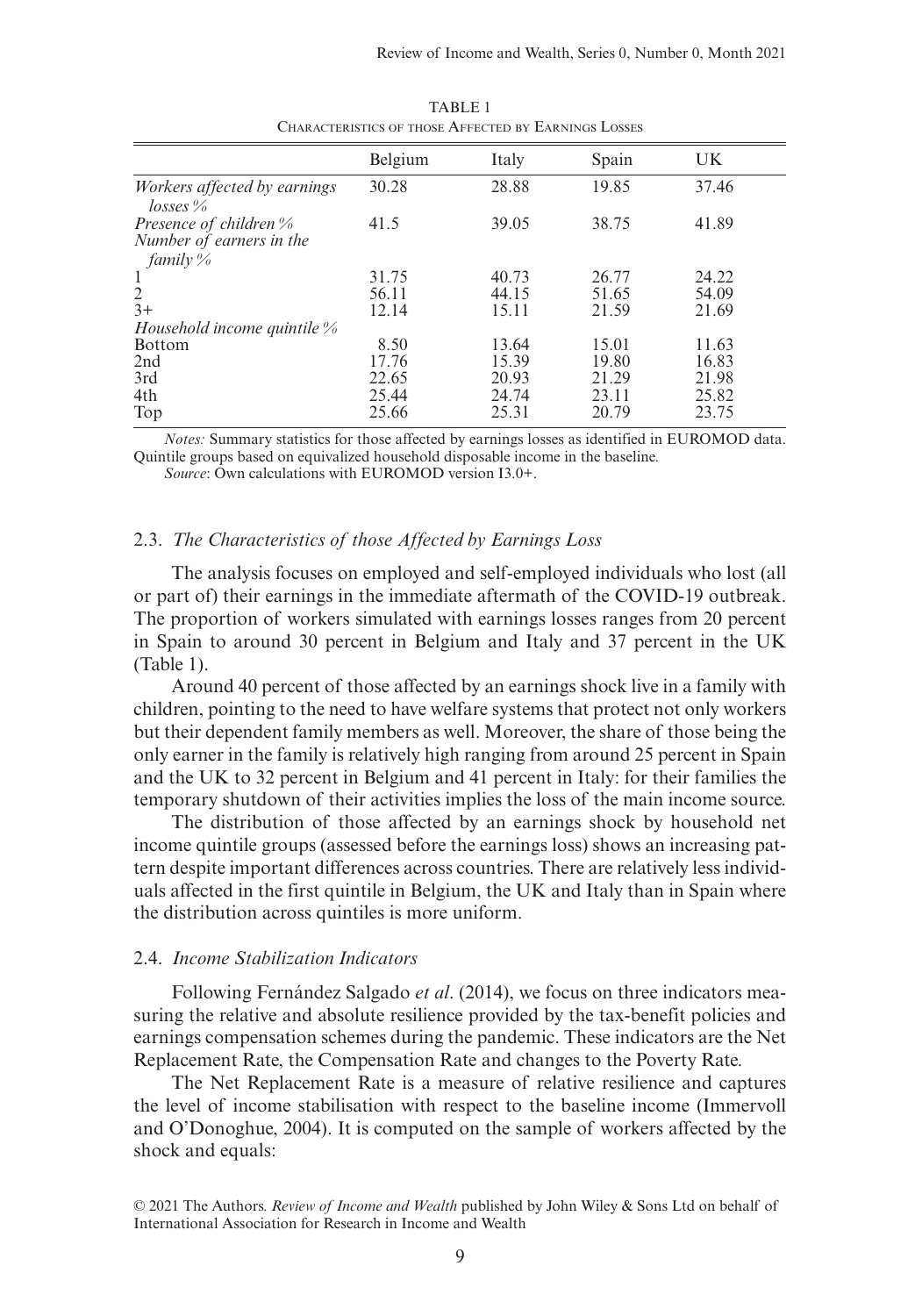|                                            | Belgium | Italy | Spain | UK    |
|--------------------------------------------|---------|-------|-------|-------|
| Workers affected by earnings<br>$losses\%$ | 30.28   | 28.88 | 19.85 | 37.46 |
| Presence of children %                     | 41.5    | 39.05 | 38.75 | 41.89 |
| Number of earners in the                   |         |       |       |       |
| family %                                   |         |       |       |       |
| 1                                          | 31.75   | 40.73 | 26.77 | 24.22 |
| $\overline{2}$                             | 56.11   | 44.15 | 51.65 | 54.09 |
| $3+$                                       | 12.14   | 15.11 | 21.59 | 21.69 |
| Household income quintile $\%$             |         |       |       |       |
| <b>Bottom</b>                              | 8.50    | 13.64 | 15.01 | 11.63 |
| 2nd                                        | 17.76   | 15.39 | 19.80 | 16.83 |
| 3rd                                        | 22.65   | 20.93 | 21.29 | 21.98 |
| 4th                                        | 25.44   | 24.74 | 23.11 | 25.82 |
| Top                                        | 25.66   | 25.31 | 20.79 | 23.75 |
|                                            |         |       |       |       |

TABLE 1 Characteristics of those Affected by Earnings Losses

*Notes:* Summary statistics for those affected by earnings losses as identified in EUROMOD data. Quintile groups based on equivalized household disposable income in the baseline.

*Source*: Own calculations with EUROMOD version I3.0+.

## 2.3. *The Characteristics of those Affected by Earnings Loss*

The analysis focuses on employed and self-employed individuals who lost (all or part of) their earnings in the immediate aftermath of the COVID-19 outbreak. The proportion of workers simulated with earnings losses ranges from 20 percent in Spain to around 30 percent in Belgium and Italy and 37 percent in the UK (Table 1).

Around 40 percent of those affected by an earnings shock live in a family with children, pointing to the need to have welfare systems that protect not only workers but their dependent family members as well. Moreover, the share of those being the only earner in the family is relatively high ranging from around 25 percent in Spain and the UK to 32 percent in Belgium and 41 percent in Italy: for their families the temporary shutdown of their activities implies the loss of the main income source.

The distribution of those affected by an earnings shock by household net income quintile groups (assessed before the earnings loss) shows an increasing pattern despite important differences across countries. There are relatively less individuals affected in the first quintile in Belgium, the UK and Italy than in Spain where the distribution across quintiles is more uniform.

## 2.4. *Income Stabilization Indicators*

Following Fernández Salgado *et al*. (2014), we focus on three indicators measuring the relative and absolute resilience provided by the tax-benefit policies and earnings compensation schemes during the pandemic. These indicators are the Net Replacement Rate, the Compensation Rate and changes to the Poverty Rate.

The Net Replacement Rate is a measure of relative resilience and captures the level of income stabilisation with respect to the baseline income (Immervoll and O'Donoghue, 2004). It is computed on the sample of workers affected by the shock and equals:

<sup>© 2021</sup> The Authors. *Review of Income and Wealth* published by John Wiley & Sons Ltd on behalf of International Association for Research in Income and Wealth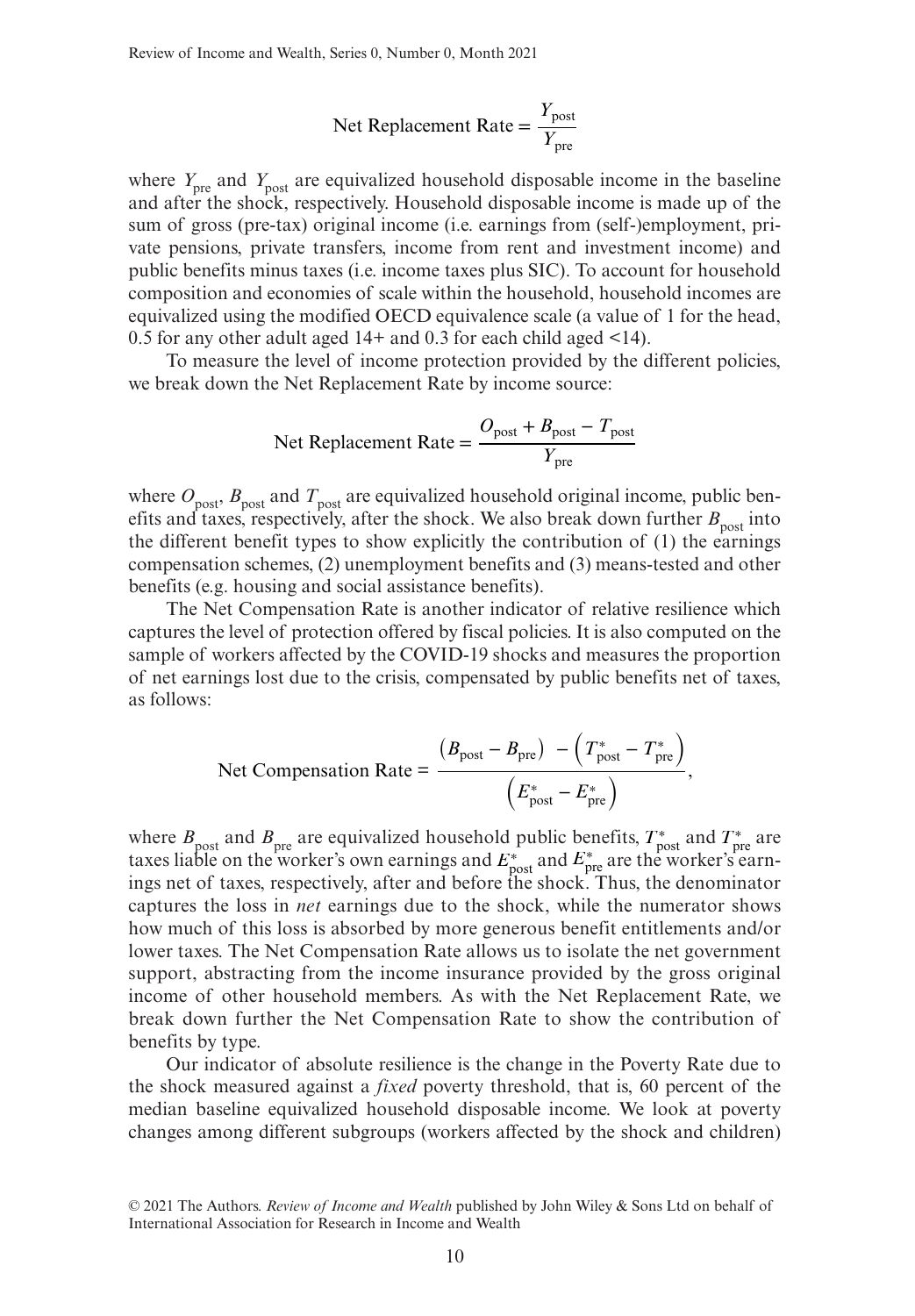$$
Net Replacement Rate = \frac{Y_{post}}{Y_{pre}}
$$

where  $Y_{\text{pre}}$  and  $Y_{\text{post}}$  are equivalized household disposable income in the baseline and after the shock, respectively. Household disposable income is made up of the sum of gross (pre-tax) original income (i.e. earnings from (self-)employment, private pensions, private transfers, income from rent and investment income) and public benefits minus taxes (i.e. income taxes plus SIC). To account for household composition and economies of scale within the household, household incomes are equivalized using the modified OECD equivalence scale (a value of 1 for the head, 0.5 for any other adult aged 14+ and 0.3 for each child aged <14).

To measure the level of income protection provided by the different policies, we break down the Net Replacement Rate by income source:

$$
Net Replacement Rate = \frac{O_{\text{post}} + B_{\text{post}} - T_{\text{post}}}{Y_{\text{pre}}}
$$

where  $O_{\text{post}}$ ,  $B_{\text{post}}$  and  $T_{\text{post}}$  are equivalized household original income, public benefits and taxes, respectively, after the shock. We also break down further  $B_{\text{post}}$  into the different benefit types to show explicitly the contribution of (1) the earnings compensation schemes, (2) unemployment benefits and (3) means-tested and other benefits (e.g. housing and social assistance benefits).

The Net Compensation Rate is another indicator of relative resilience which captures the level of protection offered by fiscal policies. It is also computed on the sample of workers affected by the COVID-19 shocks and measures the proportion of net earnings lost due to the crisis, compensated by public benefits net of taxes, as follows:

Net Comparison Rate = 
$$
\frac{(B_{\text{post}} - B_{\text{pre}}) - (T_{\text{post}}^* - T_{\text{pre}}^*)}{(E_{\text{post}}^* - E_{\text{pre}}^*)},
$$

where  $B_{\text{post}}$  and  $B_{\text{pre}}$  are equivalized household public benefits,  $T_{\text{post}}^*$  and  $T_{\text{pre}}^*$  are taxes liable on the worker's own earnings and  $E_{\text{post}}^*$  and  $E_{\text{pre}}^*$  are the worker's earnings net of taxes, respectively, after and before the shock. Thus, the denominator captures the loss in *net* earnings due to the shock, while the numerator shows how much of this loss is absorbed by more generous benefit entitlements and/or lower taxes. The Net Compensation Rate allows us to isolate the net government support, abstracting from the income insurance provided by the gross original income of other household members. As with the Net Replacement Rate, we break down further the Net Compensation Rate to show the contribution of benefits by type.

Our indicator of absolute resilience is the change in the Poverty Rate due to the shock measured against a *fixed* poverty threshold, that is, 60 percent of the median baseline equivalized household disposable income. We look at poverty changes among different subgroups (workers affected by the shock and children)

<sup>© 2021</sup> The Authors. *Review of Income and Wealth* published by John Wiley & Sons Ltd on behalf of International Association for Research in Income and Wealth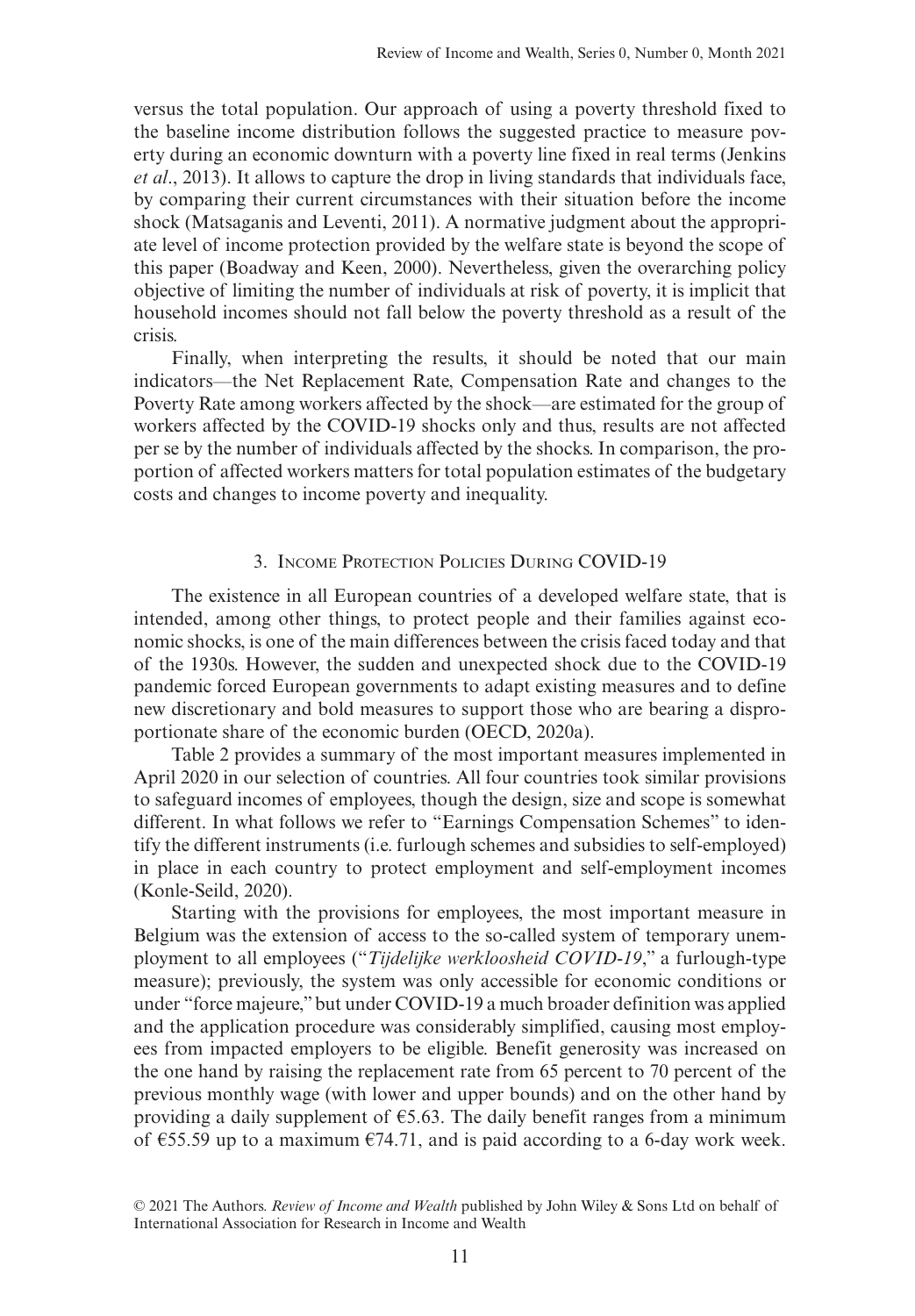versus the total population. Our approach of using a poverty threshold fixed to the baseline income distribution follows the suggested practice to measure poverty during an economic downturn with a poverty line fixed in real terms (Jenkins *et al*., 2013). It allows to capture the drop in living standards that individuals face, by comparing their current circumstances with their situation before the income shock (Matsaganis and Leventi, 2011). A normative judgment about the appropriate level of income protection provided by the welfare state is beyond the scope of this paper (Boadway and Keen, 2000). Nevertheless, given the overarching policy objective of limiting the number of individuals at risk of poverty, it is implicit that household incomes should not fall below the poverty threshold as a result of the crisis.

Finally, when interpreting the results, it should be noted that our main indicators—the Net Replacement Rate, Compensation Rate and changes to the Poverty Rate among workers affected by the shock—are estimated for the group of workers affected by the COVID-19 shocks only and thus, results are not affected per se by the number of individuals affected by the shocks. In comparison, the proportion of affected workers matters for total population estimates of the budgetary costs and changes to income poverty and inequality.

## 3. Income Protection Policies During COVID-19

The existence in all European countries of a developed welfare state, that is intended, among other things, to protect people and their families against economic shocks, is one of the main differences between the crisis faced today and that of the 1930s. However, the sudden and unexpected shock due to the COVID-19 pandemic forced European governments to adapt existing measures and to define new discretionary and bold measures to support those who are bearing a disproportionate share of the economic burden (OECD, 2020a).

Table 2 provides a summary of the most important measures implemented in April 2020 in our selection of countries. All four countries took similar provisions to safeguard incomes of employees, though the design, size and scope is somewhat different. In what follows we refer to "Earnings Compensation Schemes" to identify the different instruments (i.e. furlough schemes and subsidies to self-employed) in place in each country to protect employment and self-employment incomes (Konle-Seild, 2020).

Starting with the provisions for employees, the most important measure in Belgium was the extension of access to the so-called system of temporary unemployment to all employees ("*Tijdelijke werkloosheid COVID-19*," a furlough-type measure); previously, the system was only accessible for economic conditions or under "force majeure," but under COVID-19 a much broader definition was applied and the application procedure was considerably simplified, causing most employees from impacted employers to be eligible. Benefit generosity was increased on the one hand by raising the replacement rate from 65 percent to 70 percent of the previous monthly wage (with lower and upper bounds) and on the other hand by providing a daily supplement of  $\epsilon$ 5.63. The daily benefit ranges from a minimum of  $\epsilon$ 55.59 up to a maximum  $\epsilon$ 74.71, and is paid according to a 6-day work week.

<sup>© 2021</sup> The Authors. *Review of Income and Wealth* published by John Wiley & Sons Ltd on behalf of International Association for Research in Income and Wealth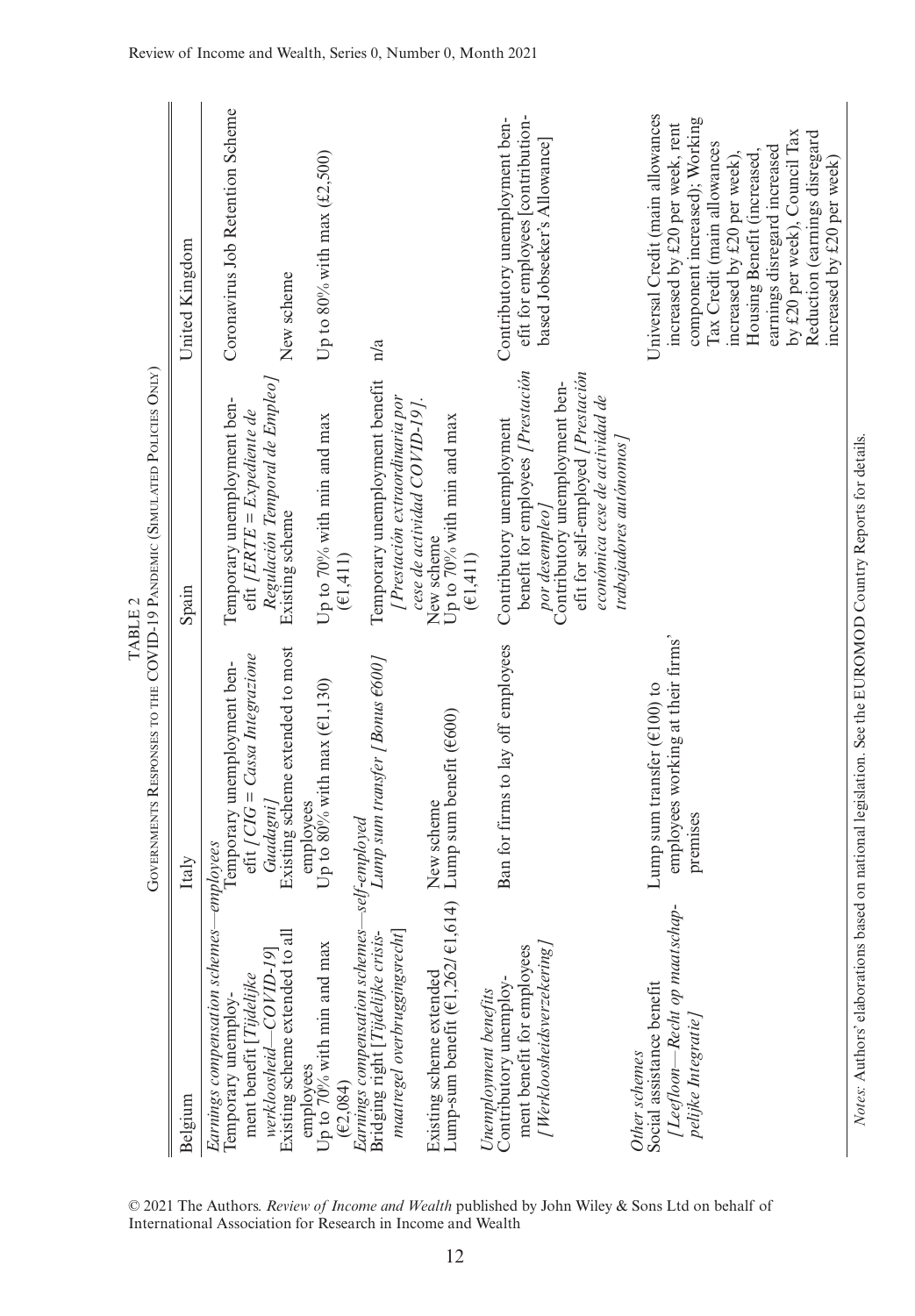|                                                                          | United Kingdom | Coronavirus Job Retention Scheme<br>New scheme                                                                                                                              | Up to 80% with max $(£2,500)$                        | n/a                                                                                                                |                                                                                       | efit for employees [contribution-<br>Contributory unemployment ben-<br>based Jobseeker's Allowance                                                       | Universal Credit (main allowances<br>component increased); Working<br>increased by £20 per week, rent<br>Tax Credit (main allowances<br>earnings disregard increased<br>Housing Benefit (increased,<br>increased by £20 per week), | by £20 per week), Council Tax<br>Reduction (earnings disregard<br>increased by £20 per week) |
|--------------------------------------------------------------------------|----------------|-----------------------------------------------------------------------------------------------------------------------------------------------------------------------------|------------------------------------------------------|--------------------------------------------------------------------------------------------------------------------|---------------------------------------------------------------------------------------|----------------------------------------------------------------------------------------------------------------------------------------------------------|------------------------------------------------------------------------------------------------------------------------------------------------------------------------------------------------------------------------------------|----------------------------------------------------------------------------------------------|
| TABLE 2                                                                  | Spain          | Regulación Temporal de Empleo]<br>Temporary unemployment ben-<br>$eff$ [ERTE = Expediente de<br>Existing scheme                                                             | Up to 70% with min and max<br>(E1, 411)              | Temporary unemployment benefit<br>[Prestación extraordinaria por                                                   | cese de actividad COVID-19].<br>Up to 70% with min and max<br>New scheme<br>(E1, 411) | benefit for employees [Prestación<br>efit for self-employed [Prestación<br>Contributory unemployment ben-<br>Contributory unemployment<br>por desempleo] | económica cese de actividad de<br>trabajadores autónomos                                                                                                                                                                           |                                                                                              |
| GOVERNMENTS RESPONSES TO THE COVID-19 PANDEMIC (SIMULATED POLICIES ONLY) | Italy          | Existing scheme extended to most<br>$\mathrm{eff}/CIG = Cassa\,Integratione$<br>Temporary unemployment ben-<br>Guadagni]                                                    | Up to $80\%$ with max ( $E1,130$ )<br>employees      | Lump sum transfer [Bonus €600]                                                                                     | Lump sum benefit (€600)<br>New scheme                                                 | Ban for firms to lay off employees                                                                                                                       | employees working at their firms'<br>Lump sum transfer $(E100)$ to<br>premises                                                                                                                                                     |                                                                                              |
|                                                                          | Belgium        | res-employees<br>$\exists$<br>Existing scheme extended to<br>$-COVID-19$<br>Earnings compensation schem<br>ment benefit [Tijdelijke<br>Temporary unemploy-<br>werkloosheid- | Up to 70% with min and max<br>employees<br>(E2, 084) | Earnings compensation schemes—self-employed<br>maatregel overbruggingsrecht]<br>Bridging right [Tijdelijke crisis- | :1,614)<br>Lump-sum benefit (€1,262)<br>Existing scheme extended                      | ment benefit for employees<br>[Werkloosheidsverzekering<br>Contributory unemploy-<br>Unemployment benefits                                               | [Leefloon—Recht op maatschap-<br>Social assistance benefit<br>pelijke Integratie<br>Other schemes                                                                                                                                  |                                                                                              |

Review of Income and Wealth, Series 0, Number 0, Month 2021

© 2021 The Authors. *Review of Income and Wealth* published by John Wiley & Sons Ltd on behalf of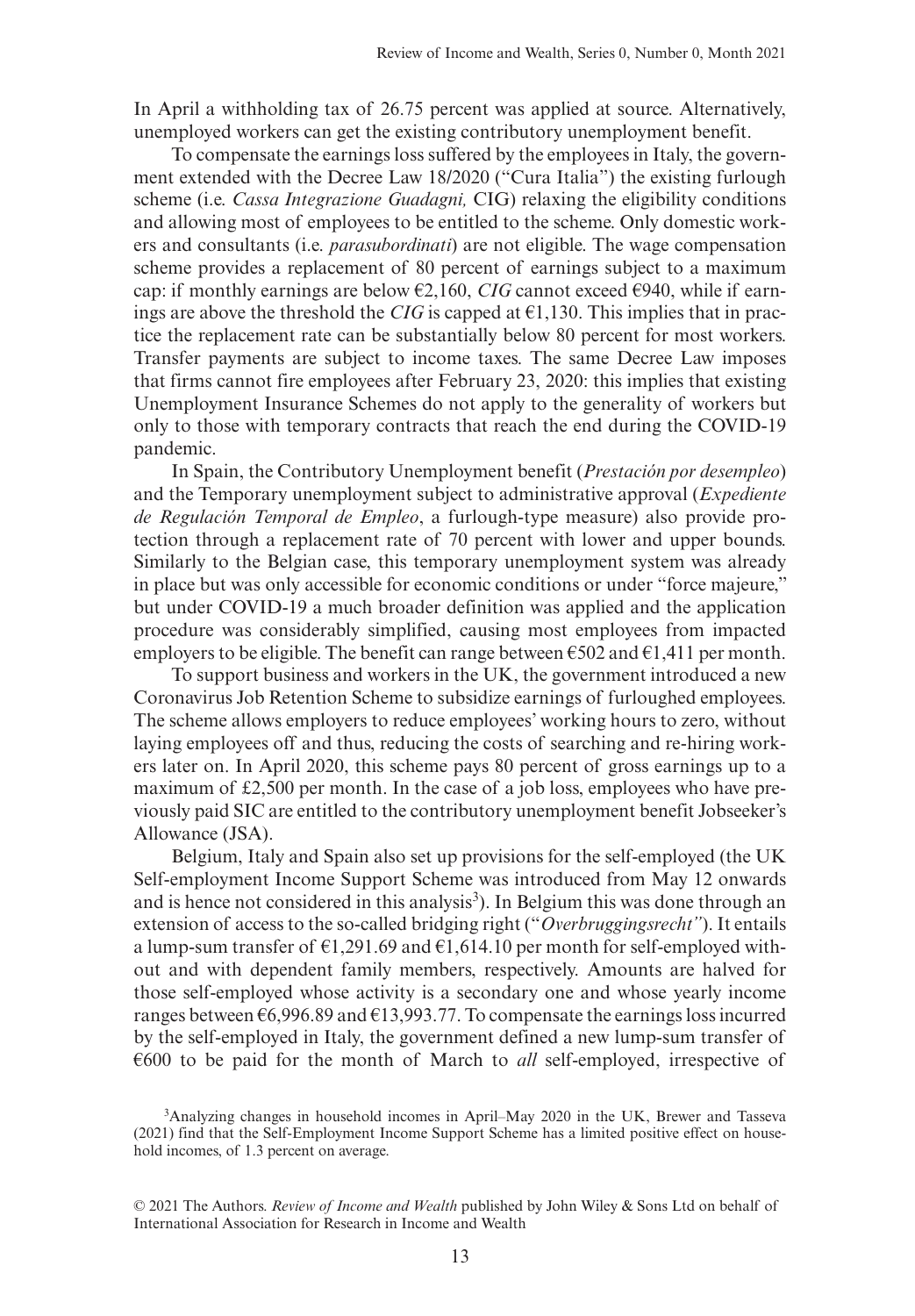In April a withholding tax of 26.75 percent was applied at source. Alternatively, unemployed workers can get the existing contributory unemployment benefit.

To compensate the earnings loss suffered by the employees in Italy, the government extended with the Decree Law 18/2020 ("Cura Italia") the existing furlough scheme (i.e. *Cassa Integrazione Guadagni,* CIG) relaxing the eligibility conditions and allowing most of employees to be entitled to the scheme. Only domestic workers and consultants (i.e. *parasubordinati*) are not eligible. The wage compensation scheme provides a replacement of 80 percent of earnings subject to a maximum cap: if monthly earnings are below  $\epsilon$ 2,160, *CIG* cannot exceed  $\epsilon$ 940, while if earnings are above the threshold the *CIG* is capped at  $\epsilon$ 1,130. This implies that in practice the replacement rate can be substantially below 80 percent for most workers. Transfer payments are subject to income taxes. The same Decree Law imposes that firms cannot fire employees after February 23, 2020: this implies that existing Unemployment Insurance Schemes do not apply to the generality of workers but only to those with temporary contracts that reach the end during the COVID-19 pandemic.

In Spain, the Contributory Unemployment benefit (*Prestación por desempleo*) and the Temporary unemployment subject to administrative approval (*Expediente de Regulación Temporal de Empleo*, a furlough-type measure) also provide protection through a replacement rate of 70 percent with lower and upper bounds. Similarly to the Belgian case, this temporary unemployment system was already in place but was only accessible for economic conditions or under "force majeure," but under COVID-19 a much broader definition was applied and the application procedure was considerably simplified, causing most employees from impacted employers to be eligible. The benefit can range between  $\epsilon$ 502 and  $\epsilon$ 1,411 per month.

To support business and workers in the UK, the government introduced a new Coronavirus Job Retention Scheme to subsidize earnings of furloughed employees. The scheme allows employers to reduce employees' working hours to zero, without laying employees off and thus, reducing the costs of searching and re-hiring workers later on. In April 2020, this scheme pays 80 percent of gross earnings up to a maximum of  $\text{\pounds}2,500$  per month. In the case of a job loss, employees who have previously paid SIC are entitled to the contributory unemployment benefit Jobseeker's Allowance (JSA).

Belgium, Italy and Spain also set up provisions for the self-employed (the UK Self-employment Income Support Scheme was introduced from May 12 onwards and is hence not considered in this analysis<sup>3</sup>). In Belgium this was done through an extension of access to the so-called bridging right ("*Overbruggingsrecht"*). It entails a lump-sum transfer of  $\epsilon$ 1,291.69 and  $\epsilon$ 1,614.10 per month for self-employed without and with dependent family members, respectively. Amounts are halved for those self-employed whose activity is a secondary one and whose yearly income ranges between €6,996.89 and €13,993.77. To compensate the earnings loss incurred by the self-employed in Italy, the government defined a new lump-sum transfer of €600 to be paid for the month of March to *all* self-employed, irrespective of

<sup>3</sup>Analyzing changes in household incomes in April–May 2020 in the UK, Brewer and Tasseva (2021) find that the Self-Employment Income Support Scheme has a limited positive effect on household incomes, of 1.3 percent on average.

<sup>© 2021</sup> The Authors. *Review of Income and Wealth* published by John Wiley & Sons Ltd on behalf of International Association for Research in Income and Wealth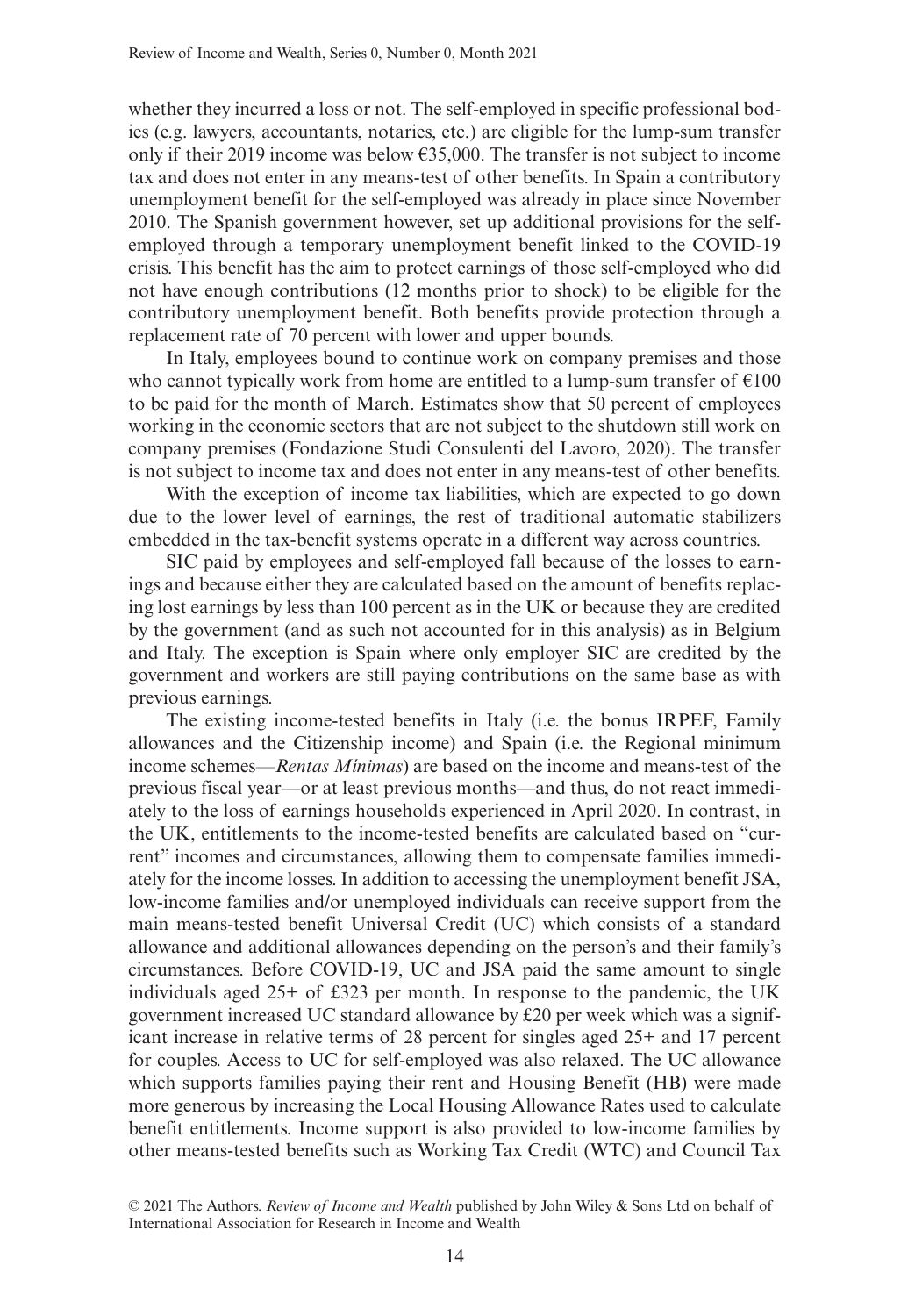whether they incurred a loss or not. The self-employed in specific professional bodies (e.g. lawyers, accountants, notaries, etc.) are eligible for the lump-sum transfer only if their 2019 income was below €35,000. The transfer is not subject to income tax and does not enter in any means-test of other benefits. In Spain a contributory unemployment benefit for the self-employed was already in place since November 2010. The Spanish government however, set up additional provisions for the selfemployed through a temporary unemployment benefit linked to the COVID-19 crisis. This benefit has the aim to protect earnings of those self-employed who did not have enough contributions (12 months prior to shock) to be eligible for the contributory unemployment benefit. Both benefits provide protection through a replacement rate of 70 percent with lower and upper bounds.

In Italy, employees bound to continue work on company premises and those who cannot typically work from home are entitled to a lump-sum transfer of  $\epsilon$ 100 to be paid for the month of March. Estimates show that 50 percent of employees working in the economic sectors that are not subject to the shutdown still work on company premises (Fondazione Studi Consulenti del Lavoro, 2020). The transfer is not subject to income tax and does not enter in any means-test of other benefits.

With the exception of income tax liabilities, which are expected to go down due to the lower level of earnings, the rest of traditional automatic stabilizers embedded in the tax-benefit systems operate in a different way across countries.

SIC paid by employees and self-employed fall because of the losses to earnings and because either they are calculated based on the amount of benefits replacing lost earnings by less than 100 percent as in the UK or because they are credited by the government (and as such not accounted for in this analysis) as in Belgium and Italy. The exception is Spain where only employer SIC are credited by the government and workers are still paying contributions on the same base as with previous earnings.

The existing income-tested benefits in Italy (i.e. the bonus IRPEF, Family allowances and the Citizenship income) and Spain (i.e. the Regional minimum income schemes—*Rentas Mínimas*) are based on the income and means-test of the previous fiscal year—or at least previous months—and thus, do not react immediately to the loss of earnings households experienced in April 2020. In contrast, in the UK, entitlements to the income-tested benefits are calculated based on "current" incomes and circumstances, allowing them to compensate families immediately for the income losses. In addition to accessing the unemployment benefit JSA, low-income families and/or unemployed individuals can receive support from the main means-tested benefit Universal Credit (UC) which consists of a standard allowance and additional allowances depending on the person's and their family's circumstances. Before COVID-19, UC and JSA paid the same amount to single individuals aged 25+ of £323 per month. In response to the pandemic, the UK government increased UC standard allowance by £20 per week which was a significant increase in relative terms of 28 percent for singles aged 25+ and 17 percent for couples. Access to UC for self-employed was also relaxed. The UC allowance which supports families paying their rent and Housing Benefit (HB) were made more generous by increasing the Local Housing Allowance Rates used to calculate benefit entitlements. Income support is also provided to low-income families by other means-tested benefits such as Working Tax Credit (WTC) and Council Tax

<sup>© 2021</sup> The Authors. *Review of Income and Wealth* published by John Wiley & Sons Ltd on behalf of International Association for Research in Income and Wealth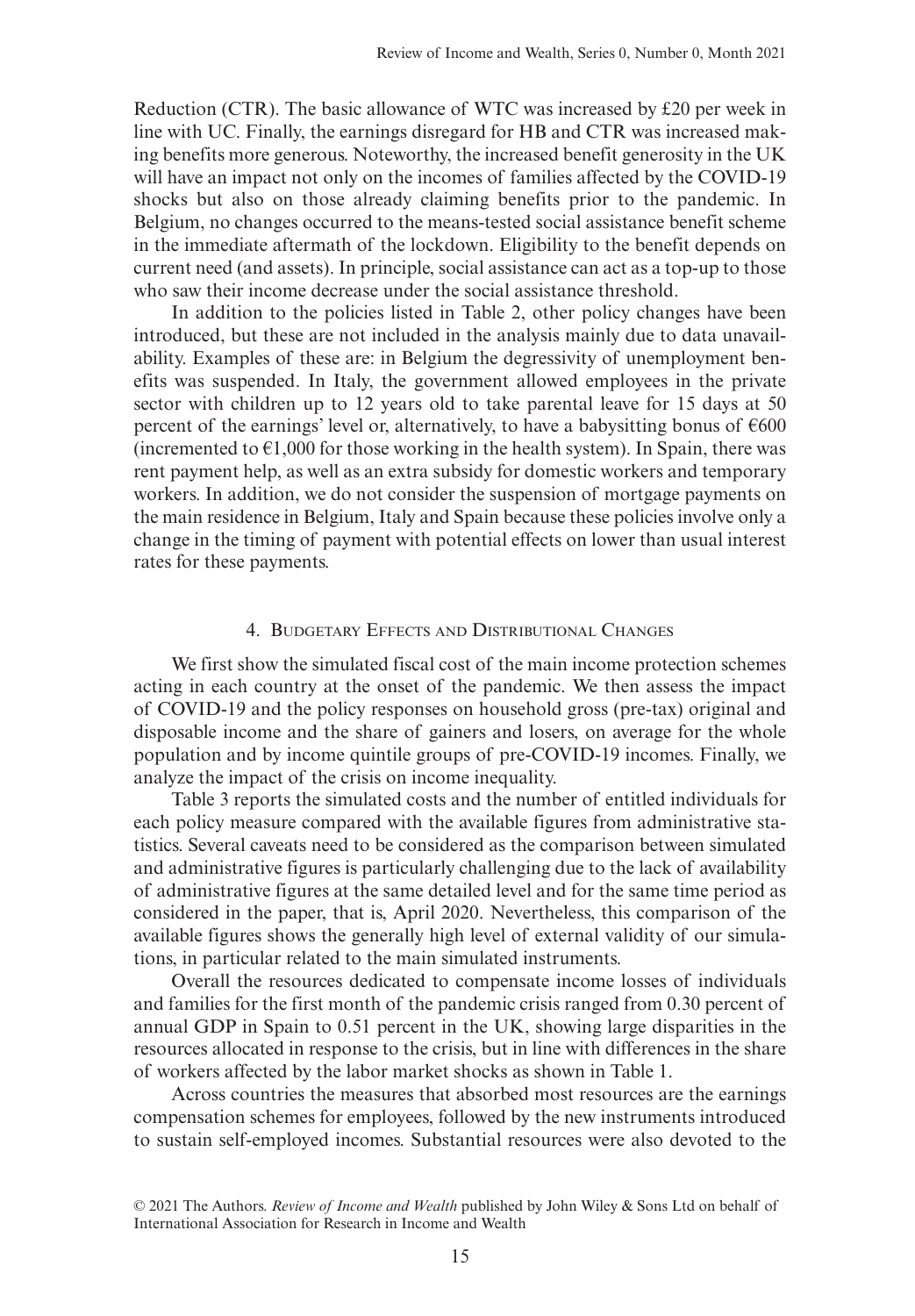Reduction (CTR). The basic allowance of WTC was increased by £20 per week in line with UC. Finally, the earnings disregard for HB and CTR was increased making benefits more generous. Noteworthy, the increased benefit generosity in the UK will have an impact not only on the incomes of families affected by the COVID-19 shocks but also on those already claiming benefits prior to the pandemic. In Belgium, no changes occurred to the means-tested social assistance benefit scheme in the immediate aftermath of the lockdown. Eligibility to the benefit depends on current need (and assets). In principle, social assistance can act as a top-up to those who saw their income decrease under the social assistance threshold.

In addition to the policies listed in Table 2, other policy changes have been introduced, but these are not included in the analysis mainly due to data unavailability. Examples of these are: in Belgium the degressivity of unemployment benefits was suspended. In Italy, the government allowed employees in the private sector with children up to 12 years old to take parental leave for 15 days at 50 percent of the earnings' level or, alternatively, to have a babysitting bonus of  $\epsilon$ 600 (incremented to  $\epsilon$ 1,000 for those working in the health system). In Spain, there was rent payment help, as well as an extra subsidy for domestic workers and temporary workers. In addition, we do not consider the suspension of mortgage payments on the main residence in Belgium, Italy and Spain because these policies involve only a change in the timing of payment with potential effects on lower than usual interest rates for these payments.

## 4. Budgetary Effects and Distributional Changes

We first show the simulated fiscal cost of the main income protection schemes acting in each country at the onset of the pandemic. We then assess the impact of COVID-19 and the policy responses on household gross (pre-tax) original and disposable income and the share of gainers and losers, on average for the whole population and by income quintile groups of pre-COVID-19 incomes. Finally, we analyze the impact of the crisis on income inequality.

Table 3 reports the simulated costs and the number of entitled individuals for each policy measure compared with the available figures from administrative statistics. Several caveats need to be considered as the comparison between simulated and administrative figures is particularly challenging due to the lack of availability of administrative figures at the same detailed level and for the same time period as considered in the paper, that is, April 2020. Nevertheless, this comparison of the available figures shows the generally high level of external validity of our simulations, in particular related to the main simulated instruments.

Overall the resources dedicated to compensate income losses of individuals and families for the first month of the pandemic crisis ranged from 0.30 percent of annual GDP in Spain to 0.51 percent in the UK, showing large disparities in the resources allocated in response to the crisis, but in line with differences in the share of workers affected by the labor market shocks as shown in Table 1.

Across countries the measures that absorbed most resources are the earnings compensation schemes for employees, followed by the new instruments introduced to sustain self-employed incomes. Substantial resources were also devoted to the

<sup>© 2021</sup> The Authors. *Review of Income and Wealth* published by John Wiley & Sons Ltd on behalf of International Association for Research in Income and Wealth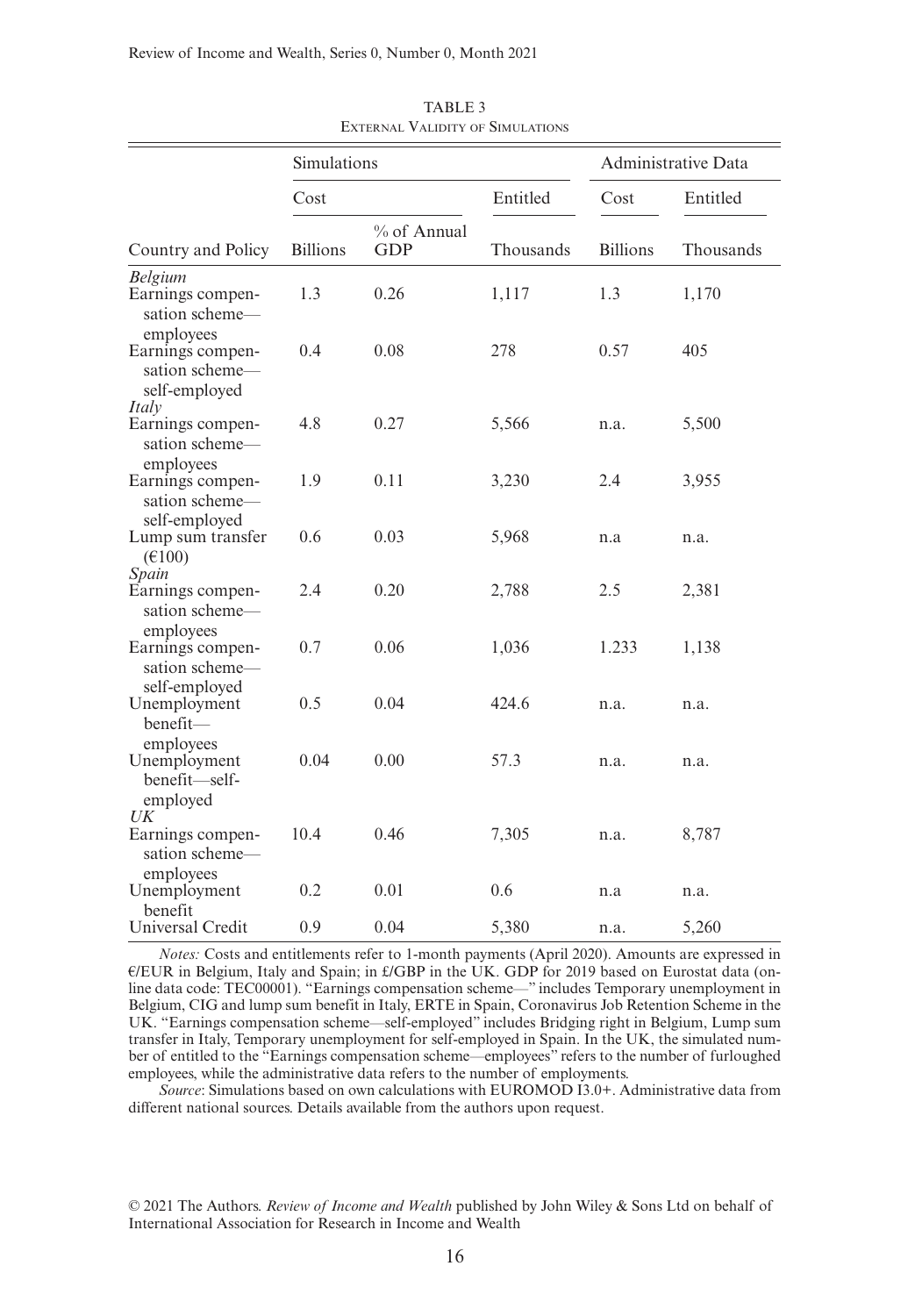|                                                                   | Simulations     |                           | Administrative Data |                 |           |
|-------------------------------------------------------------------|-----------------|---------------------------|---------------------|-----------------|-----------|
|                                                                   | Cost            |                           | Entitled            | Cost            | Entitled  |
| Country and Policy                                                | <b>Billions</b> | % of Annual<br><b>GDP</b> | Thousands           | <b>Billions</b> | Thousands |
| <b>Belgium</b><br>Earnings compen-<br>sation scheme-<br>employees | 1.3             | 0.26                      | 1,117               | 1.3             | 1,170     |
| Earnings compen-<br>sation scheme-<br>self-employed               | 0.4             | 0.08                      | 278                 | 0.57            | 405       |
| Italy<br>Earnings compen-<br>sation scheme-                       | 4.8             | 0.27                      | 5,566               | n.a.            | 5,500     |
| employees<br>Earnings compen-<br>sation scheme-                   | 1.9             | 0.11                      | 3,230               | 2.4             | 3,955     |
| self-employed<br>Lump sum transfer<br>$(\text{\textsterling}100)$ | 0.6             | 0.03                      | 5,968               | n.a             | n.a.      |
| Spain<br>Earnings compen-<br>sation scheme-                       | 2.4             | 0.20                      | 2,788               | 2.5             | 2,381     |
| employees<br>Earnings compen-<br>sation scheme-                   | 0.7             | 0.06                      | 1,036               | 1.233           | 1,138     |
| self-employed<br>Unemployment<br>benefit-                         | 0.5             | 0.04                      | 424.6               | n.a.            | n.a.      |
| employees<br>Unemployment<br>benefit-self-<br>employed            | 0.04            | 0.00                      | 57.3                | n.a.            | n.a.      |
| UK<br>Earnings compen-<br>sation scheme-                          | 10.4            | 0.46                      | 7,305               | n.a.            | 8,787     |
| employees<br>Unemployment<br>benefit                              | 0.2             | 0.01                      | 0.6                 | n.a             | n.a.      |
| Universal Credit                                                  | 0.9             | 0.04                      | 5,380               | n.a.            | 5,260     |

TABLE 3 External Validity of Simulations

*Notes:* Costs and entitlements refer to 1-month payments (April 2020). Amounts are expressed in €/EUR in Belgium, Italy and Spain; in £/GBP in the UK. GDP for 2019 based on Eurostat data (online data code: TEC00001). "Earnings compensation scheme—" includes Temporary unemployment in Belgium, CIG and lump sum benefit in Italy, ERTE in Spain, Coronavirus Job Retention Scheme in the UK. "Earnings compensation scheme—self-employed" includes Bridging right in Belgium, Lump sum transfer in Italy, Temporary unemployment for self-employed in Spain. In the UK, the simulated number of entitled to the "Earnings compensation scheme—employees" refers to the number of furloughed employees, while the administrative data refers to the number of employments.

*Source*: Simulations based on own calculations with EUROMOD I3.0+. Administrative data from different national sources. Details available from the authors upon request.

© 2021 The Authors. *Review of Income and Wealth* published by John Wiley & Sons Ltd on behalf of International Association for Research in Income and Wealth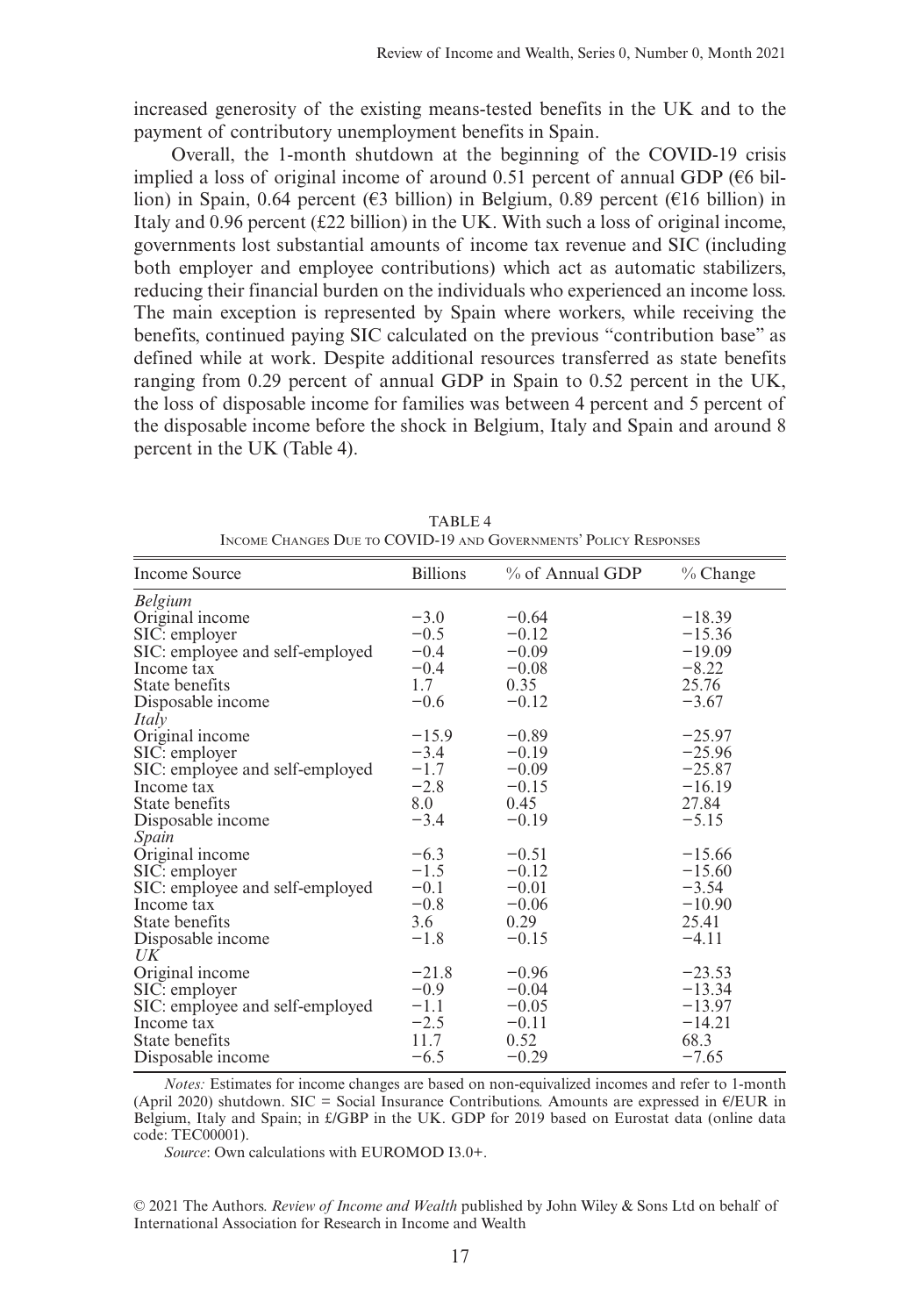increased generosity of the existing means-tested benefits in the UK and to the payment of contributory unemployment benefits in Spain.

Overall, the 1-month shutdown at the beginning of the COVID-19 crisis implied a loss of original income of around 0.51 percent of annual GDP ( $66$  billion) in Spain, 0.64 percent ( $\epsilon$ 3 billion) in Belgium, 0.89 percent ( $\epsilon$ 16 billion) in Italy and  $0.96$  percent (£22 billion) in the UK. With such a loss of original income, governments lost substantial amounts of income tax revenue and SIC (including both employer and employee contributions) which act as automatic stabilizers, reducing their financial burden on the individuals who experienced an income loss. The main exception is represented by Spain where workers, while receiving the benefits, continued paying SIC calculated on the previous "contribution base" as defined while at work. Despite additional resources transferred as state benefits ranging from 0.29 percent of annual GDP in Spain to 0.52 percent in the UK, the loss of disposable income for families was between 4 percent and 5 percent of the disposable income before the shock in Belgium, Italy and Spain and around 8 percent in the UK (Table 4).

| <b>Income Source</b>            | <b>Billions</b> | % of Annual GDP | $%$ Change |
|---------------------------------|-----------------|-----------------|------------|
| <b>Belgium</b>                  |                 |                 |            |
| Original income                 | $-3.0$          | $-0.64$         | $-18.39$   |
| SIC: employer                   | $-0.5$          | $-0.12$         | $-15.36$   |
| SIC: employee and self-employed | $-0.4$          | $-0.09$         | $-19.09$   |
| Income tax                      | $-0.4$          | $-0.08$         | $-8.22$    |
| State benefits                  | 1.7             | 0.35            | 25.76      |
| Disposable income               | $-0.6$          | $-0.12$         | $-3.67$    |
| Italy                           |                 |                 |            |
| Original income                 | $-15.9$         | $-0.89$         | $-25.97$   |
| SIC: employer                   | $-3.4$          | $-0.19$         | $-25.96$   |
| SIC: employee and self-employed | $-1.7$          | $-0.09$         | $-25.87$   |
| Income tax                      | $-2.8$          | $-0.15$         | $-16.19$   |
| State benefits                  | 8.0             | 0.45            | 27.84      |
| Disposable income               | $-3.4$          | $-0.19$         | $-5.15$    |
| Spain                           |                 |                 |            |
| Original income                 | $-6.3$          | $-0.51$         | $-15.66$   |
| SIC: employer                   | $-1.5$          | $-0.12$         | $-15.60$   |
| SIC: employee and self-employed | $-0.1$          | $-0.01$         | $-3.54$    |
| Income tax                      | $-0.8$          | $-0.06$         | $-10.90$   |
| State benefits                  | 3.6             | 0.29            | 25.41      |
| Disposable income               | $-1.8$          | $-0.15$         | $-4.11$    |
| $U\bar{K}$                      |                 |                 |            |
| Original income                 | $-21.8$         | $-0.96$         | $-23.53$   |
| SIC: employer                   | $-0.9$          | $-0.04$         | $-13.34$   |
| SIC: employee and self-employed | $-1.1$          | $-0.05$         | $-13.97$   |
| Income tax                      | $-2.5$          | $-0.11$         | $-14.21$   |
| State benefits                  | 11.7            | 0.52            | 68.3       |
| Disposable income               | $-6.5$          | $-0.29$         | $-7.65$    |

TABLE 4 Income Changes Due to COVID-19 and Governments' Policy Responses

*Notes:* Estimates for income changes are based on non-equivalized incomes and refer to 1-month (April 2020) shutdown. SIC = Social Insurance Contributions. Amounts are expressed in  $E/EUR$  in Belgium, Italy and Spain; in £/GBP in the UK. GDP for 2019 based on Eurostat data (online data code: TEC00001).

*Source*: Own calculations with EUROMOD I3.0+.

© 2021 The Authors. *Review of Income and Wealth* published by John Wiley & Sons Ltd on behalf of International Association for Research in Income and Wealth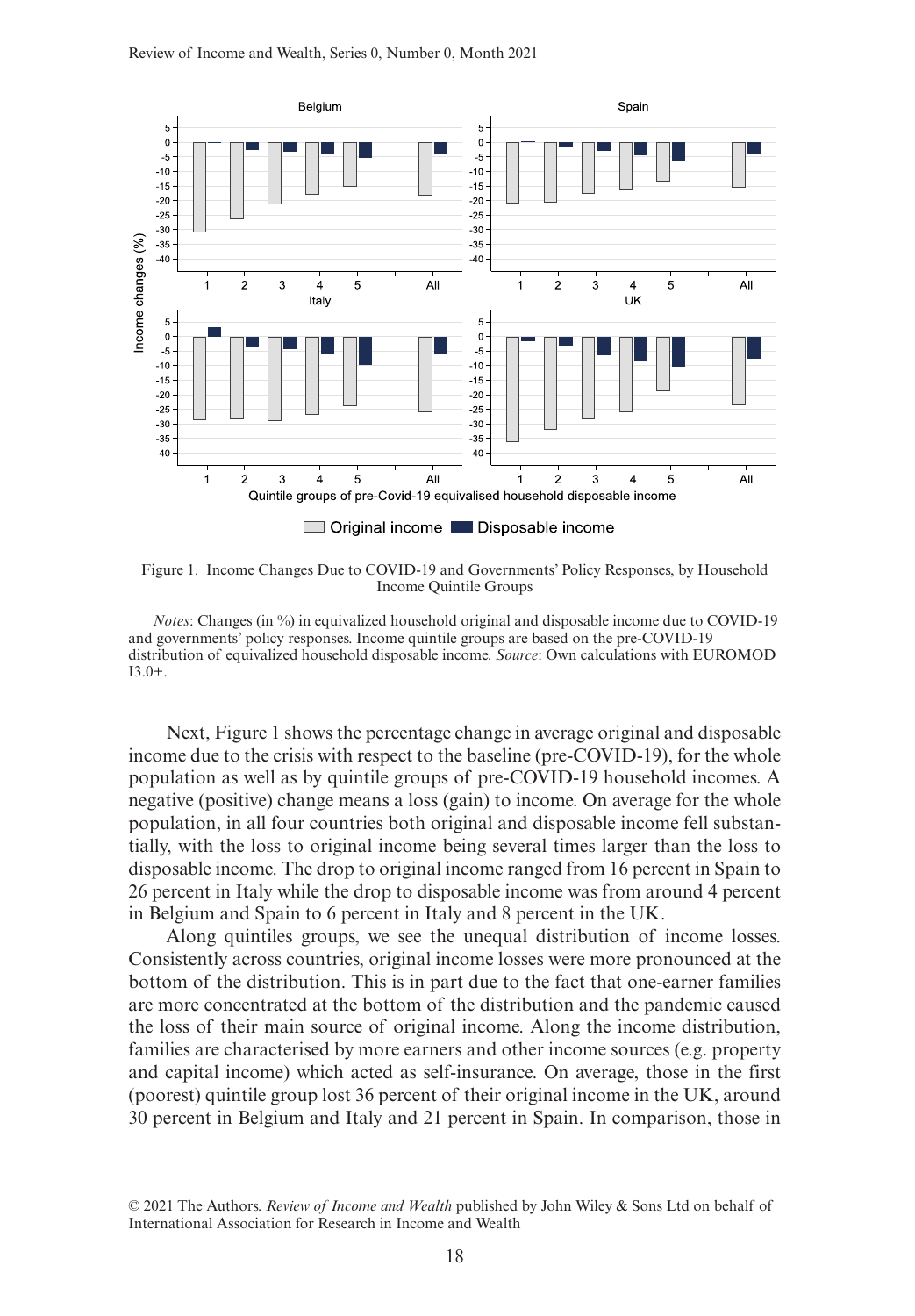

Figure 1. Income Changes Due to COVID-19 and Governments' Policy Responses, by Household Income Quintile Groups

*Notes*: Changes (in %) in equivalized household original and disposable income due to COVID-19 and governments' policy responses. Income quintile groups are based on the pre-COVID-19 distribution of equivalized household disposable income. *Source*: Own calculations with EUROMOD  $I3.0+$ .

Next, Figure 1 shows the percentage change in average original and disposable income due to the crisis with respect to the baseline (pre-COVID-19), for the whole population as well as by quintile groups of pre-COVID-19 household incomes. A negative (positive) change means a loss (gain) to income. On average for the whole population, in all four countries both original and disposable income fell substantially, with the loss to original income being several times larger than the loss to disposable income. The drop to original income ranged from 16 percent in Spain to 26 percent in Italy while the drop to disposable income was from around 4 percent in Belgium and Spain to 6 percent in Italy and 8 percent in the UK.

Along quintiles groups, we see the unequal distribution of income losses. Consistently across countries, original income losses were more pronounced at the bottom of the distribution. This is in part due to the fact that one-earner families are more concentrated at the bottom of the distribution and the pandemic caused the loss of their main source of original income. Along the income distribution, families are characterised by more earners and other income sources (e.g. property and capital income) which acted as self-insurance. On average, those in the first (poorest) quintile group lost 36 percent of their original income in the UK, around 30 percent in Belgium and Italy and 21 percent in Spain. In comparison, those in

<sup>© 2021</sup> The Authors. *Review of Income and Wealth* published by John Wiley & Sons Ltd on behalf of International Association for Research in Income and Wealth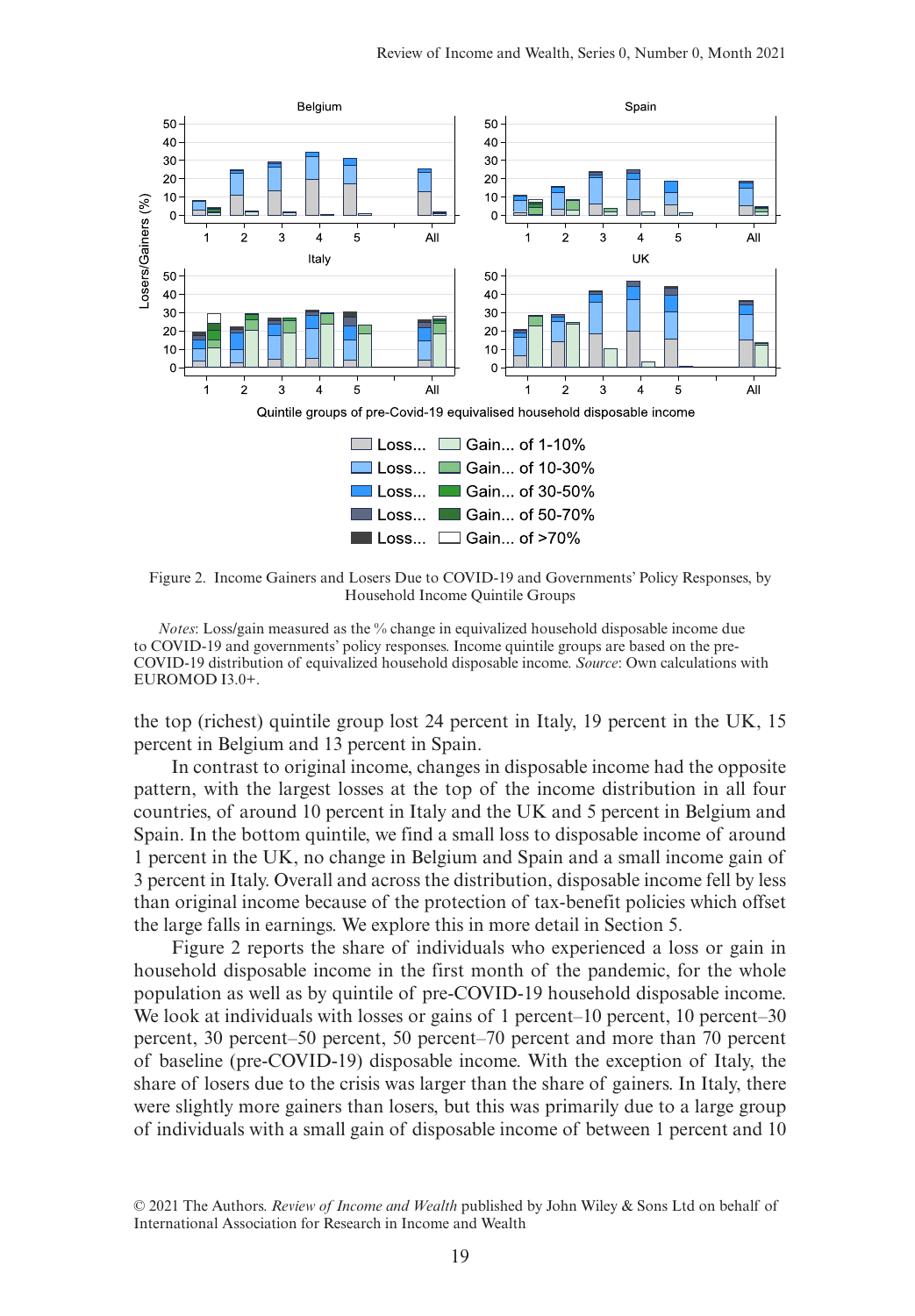

Figure 2. Income Gainers and Losers Due to COVID-19 and Governments' Policy Responses, by Household Income Quintile Groups

*Notes*: Loss/gain measured as the % change in equivalized household disposable income due to COVID-19 and governments' policy responses. Income quintile groups are based on the pre-COVID-19 distribution of equivalized household disposable income. *Source*: Own calculations with EUROMOD I3.0+.

the top (richest) quintile group lost 24 percent in Italy, 19 percent in the UK, 15 percent in Belgium and 13 percent in Spain.

In contrast to original income, changes in disposable income had the opposite pattern, with the largest losses at the top of the income distribution in all four countries, of around 10 percent in Italy and the UK and 5 percent in Belgium and Spain. In the bottom quintile, we find a small loss to disposable income of around 1 percent in the UK, no change in Belgium and Spain and a small income gain of 3 percent in Italy. Overall and across the distribution, disposable income fell by less than original income because of the protection of tax-benefit policies which offset the large falls in earnings. We explore this in more detail in Section 5.

Figure 2 reports the share of individuals who experienced a loss or gain in household disposable income in the first month of the pandemic, for the whole population as well as by quintile of pre-COVID-19 household disposable income. We look at individuals with losses or gains of 1 percent–10 percent, 10 percent–30 percent, 30 percent–50 percent, 50 percent–70 percent and more than 70 percent of baseline (pre-COVID-19) disposable income. With the exception of Italy, the share of losers due to the crisis was larger than the share of gainers. In Italy, there were slightly more gainers than losers, but this was primarily due to a large group of individuals with a small gain of disposable income of between 1 percent and 10

<sup>© 2021</sup> The Authors. *Review of Income and Wealth* published by John Wiley & Sons Ltd on behalf of International Association for Research in Income and Wealth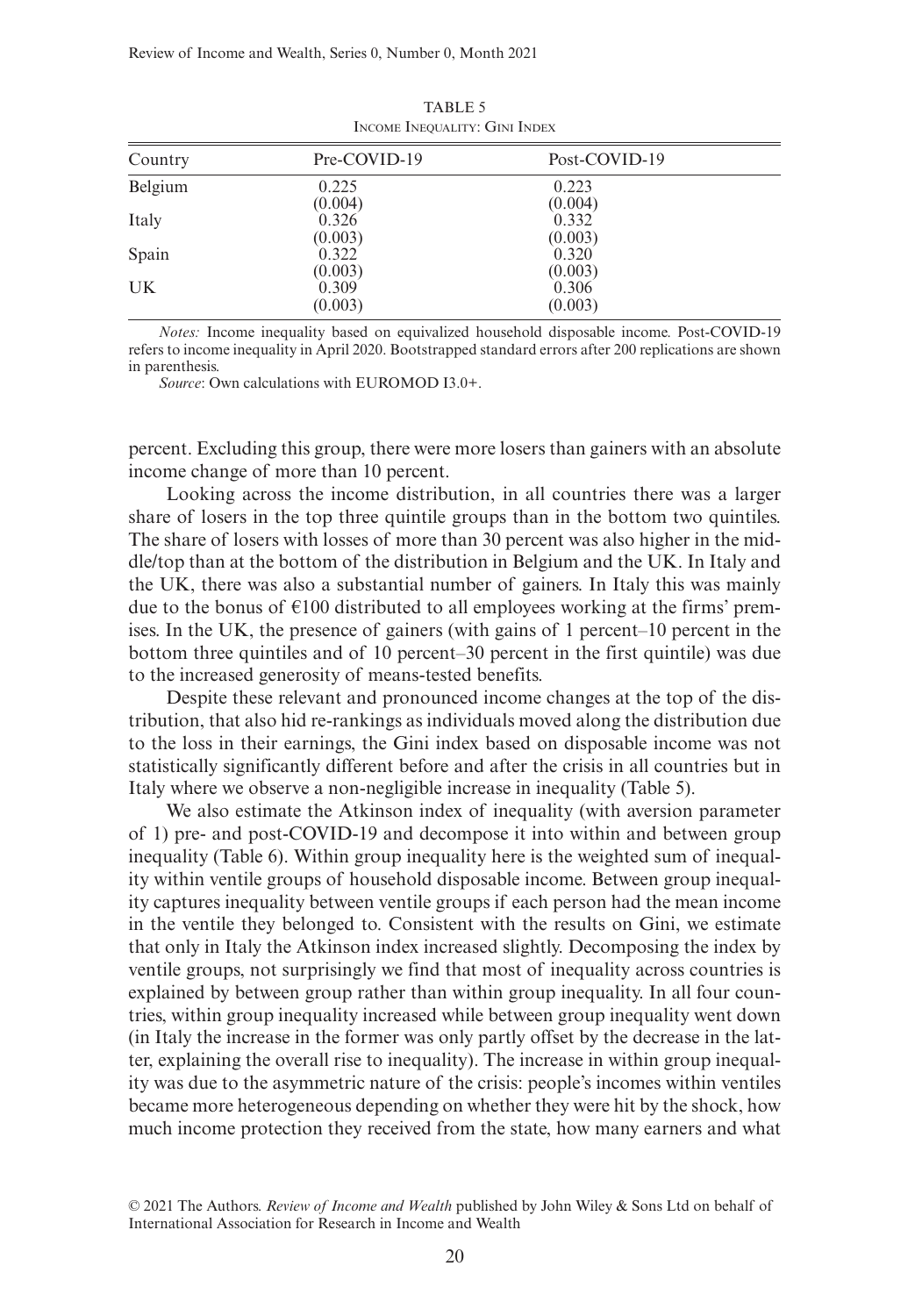| Country | Pre-COVID-19 | Post-COVID-19 |  |
|---------|--------------|---------------|--|
| Belgium | 0.225        | 0.223         |  |
|         | (0.004)      | (0.004)       |  |
| Italy   | 0.326        | 0.332         |  |
|         | (0.003)      | (0.003)       |  |
| Spain   | 0.322        | 0.320         |  |
|         | (0.003)      | (0.003)       |  |
| UK.     | 0.309        | 0.306         |  |
|         | (0.003)      | (0.003)       |  |

TABLE 5 Income Inequality: Gini Index

*Notes:* Income inequality based on equivalized household disposable income. Post-COVID-19 refers to income inequality in April 2020. Bootstrapped standard errors after 200 replications are shown in parenthesis.

*Source*: Own calculations with EUROMOD I3.0+.

percent. Excluding this group, there were more losers than gainers with an absolute income change of more than 10 percent.

Looking across the income distribution, in all countries there was a larger share of losers in the top three quintile groups than in the bottom two quintiles. The share of losers with losses of more than 30 percent was also higher in the middle/top than at the bottom of the distribution in Belgium and the UK. In Italy and the UK, there was also a substantial number of gainers. In Italy this was mainly due to the bonus of  $\epsilon$ 100 distributed to all employees working at the firms' premises. In the UK, the presence of gainers (with gains of 1 percent–10 percent in the bottom three quintiles and of 10 percent–30 percent in the first quintile) was due to the increased generosity of means-tested benefits.

Despite these relevant and pronounced income changes at the top of the distribution, that also hid re-rankings as individuals moved along the distribution due to the loss in their earnings, the Gini index based on disposable income was not statistically significantly different before and after the crisis in all countries but in Italy where we observe a non-negligible increase in inequality (Table 5).

We also estimate the Atkinson index of inequality (with aversion parameter of 1) pre- and post-COVID-19 and decompose it into within and between group inequality (Table 6). Within group inequality here is the weighted sum of inequality within ventile groups of household disposable income. Between group inequality captures inequality between ventile groups if each person had the mean income in the ventile they belonged to. Consistent with the results on Gini, we estimate that only in Italy the Atkinson index increased slightly. Decomposing the index by ventile groups, not surprisingly we find that most of inequality across countries is explained by between group rather than within group inequality. In all four countries, within group inequality increased while between group inequality went down (in Italy the increase in the former was only partly offset by the decrease in the latter, explaining the overall rise to inequality). The increase in within group inequality was due to the asymmetric nature of the crisis: people's incomes within ventiles became more heterogeneous depending on whether they were hit by the shock, how much income protection they received from the state, how many earners and what

<sup>© 2021</sup> The Authors. *Review of Income and Wealth* published by John Wiley & Sons Ltd on behalf of International Association for Research in Income and Wealth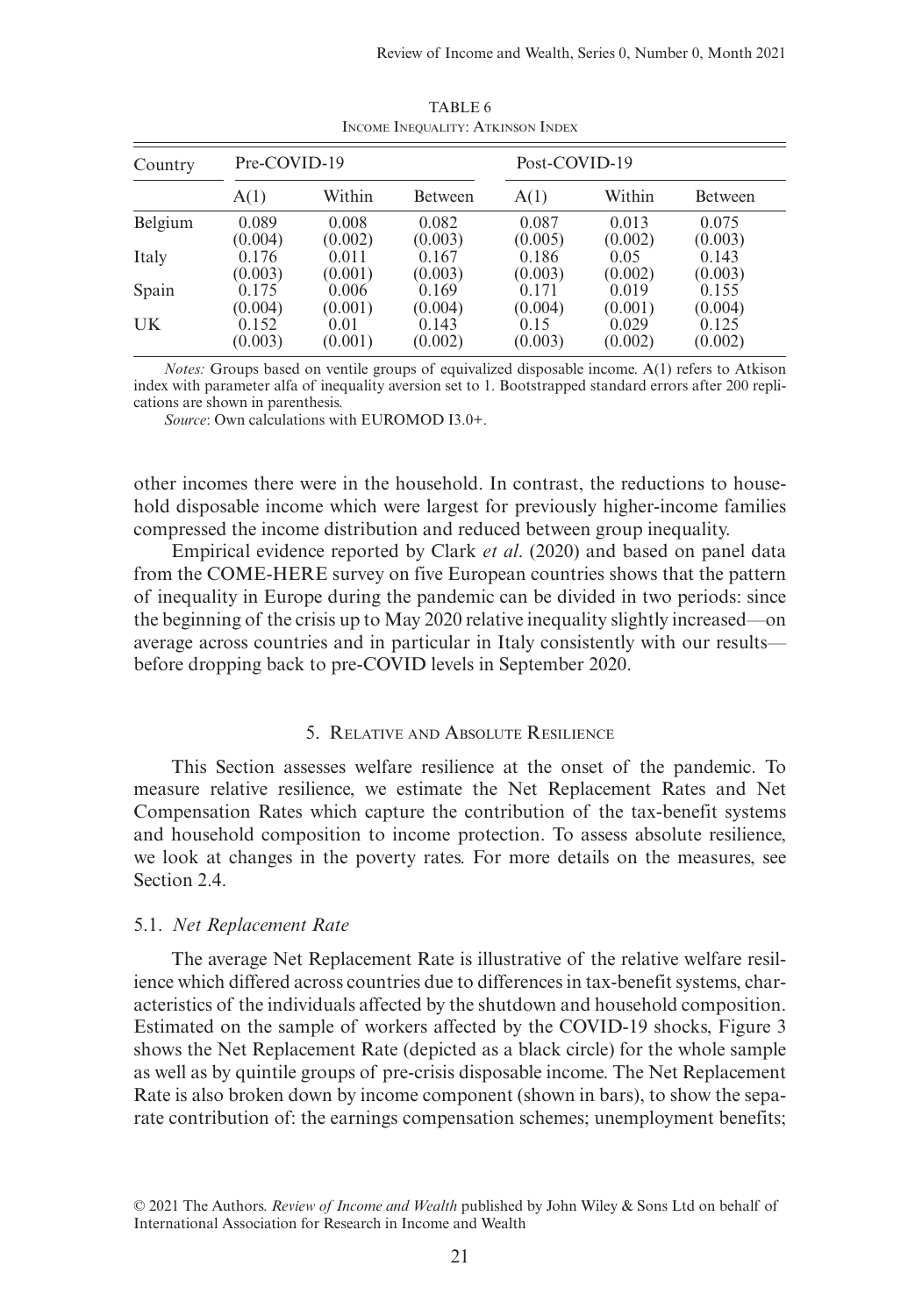| Country   | Pre-COVID-19     |                  |                  | Post-COVID-19    |                  |                  |
|-----------|------------------|------------------|------------------|------------------|------------------|------------------|
|           | A(1)             | Within           | Between          | A(1)             | Within           | Between          |
| Belgium   | 0.089<br>(0.004) | 0.008<br>(0.002) | 0.082<br>(0.003) | 0.087<br>(0.005) | 0.013<br>(0.002) | 0.075<br>(0.003) |
| Italy     | 0.176            | 0.011            | 0.167            | 0.186            | 0.05             | 0.143            |
| Spain     | (0.003)<br>0.175 | (0.001)<br>0.006 | (0.003)<br>0.169 | (0.003)<br>0.171 | (0.002)<br>0.019 | (0.003)<br>0.155 |
| <b>UK</b> | (0.004)<br>0.152 | (0.001)<br>0.01  | (0.004)<br>0.143 | (0.004)<br>0.15  | (0.001)<br>0.029 | (0.004)<br>0.125 |
|           | (0.003)          | (0.001)          | (0.002)          | (0.003)          | (0.002)          | (0.002)          |

TABLE 6 Income Inequality: Atkinson Index

*Notes:* Groups based on ventile groups of equivalized disposable income. A(1) refers to Atkison index with parameter alfa of inequality aversion set to 1. Bootstrapped standard errors after 200 replications are shown in parenthesis.

*Source*: Own calculations with EUROMOD I3.0+.

other incomes there were in the household. In contrast, the reductions to household disposable income which were largest for previously higher-income families compressed the income distribution and reduced between group inequality.

Empirical evidence reported by Clark *et al*. (2020) and based on panel data from the COME-HERE survey on five European countries shows that the pattern of inequality in Europe during the pandemic can be divided in two periods: since the beginning of the crisis up to May 2020 relative inequality slightly increased—on average across countries and in particular in Italy consistently with our results before dropping back to pre-COVID levels in September 2020.

#### 5. Relative and Absolute Resilience

This Section assesses welfare resilience at the onset of the pandemic. To measure relative resilience, we estimate the Net Replacement Rates and Net Compensation Rates which capture the contribution of the tax-benefit systems and household composition to income protection. To assess absolute resilience, we look at changes in the poverty rates. For more details on the measures, see Section 2.4.

## 5.1. *Net Replacement Rate*

The average Net Replacement Rate is illustrative of the relative welfare resilience which differed across countries due to differences in tax-benefit systems, characteristics of the individuals affected by the shutdown and household composition. Estimated on the sample of workers affected by the COVID-19 shocks, Figure 3 shows the Net Replacement Rate (depicted as a black circle) for the whole sample as well as by quintile groups of pre-crisis disposable income. The Net Replacement Rate is also broken down by income component (shown in bars), to show the separate contribution of: the earnings compensation schemes; unemployment benefits;

<sup>© 2021</sup> The Authors. *Review of Income and Wealth* published by John Wiley & Sons Ltd on behalf of International Association for Research in Income and Wealth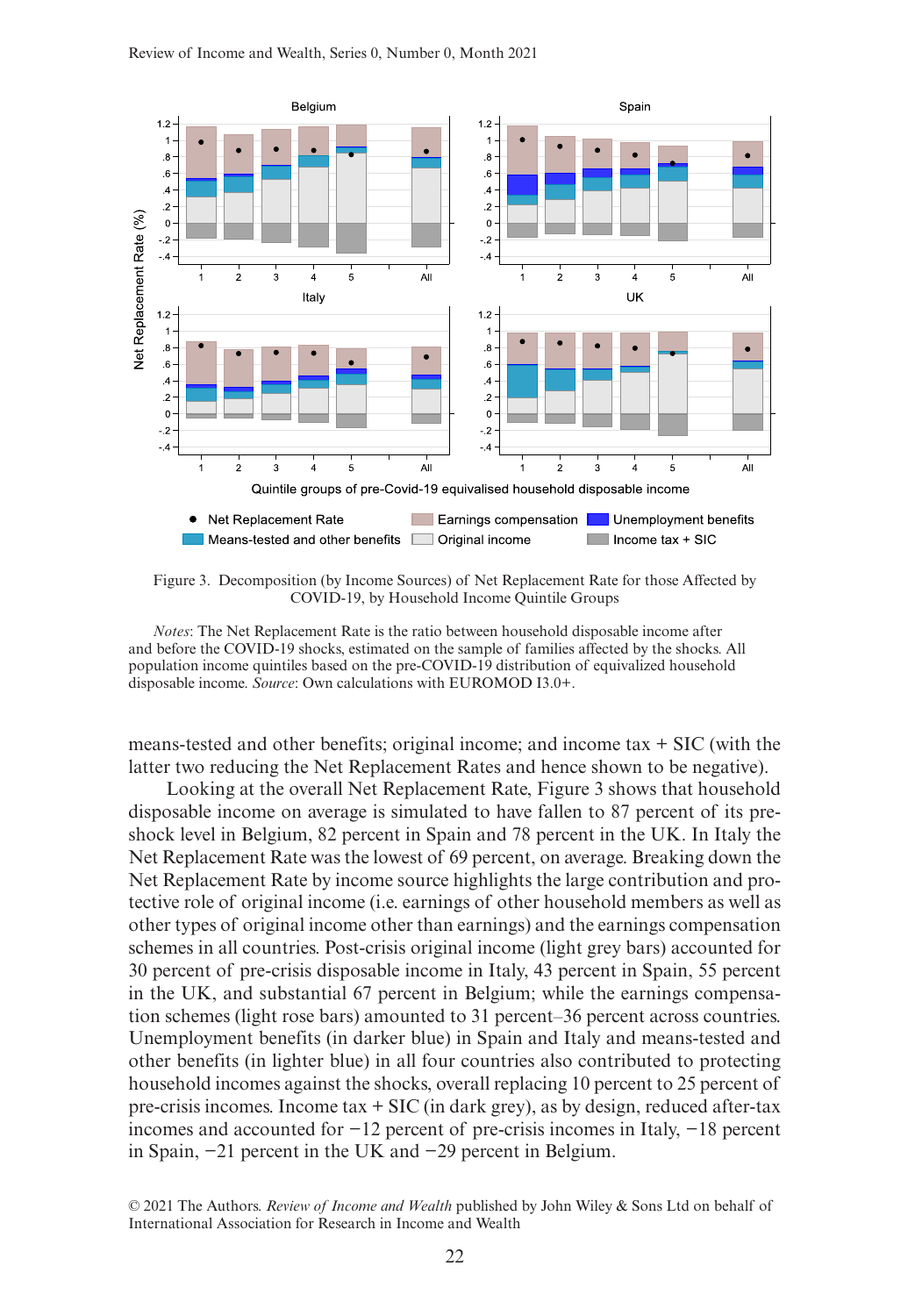

Figure 3. Decomposition (by Income Sources) of Net Replacement Rate for those Affected by COVID-19, by Household Income Quintile Groups

*Notes*: The Net Replacement Rate is the ratio between household disposable income after and before the COVID-19 shocks, estimated on the sample of families affected by the shocks. All population income quintiles based on the pre-COVID-19 distribution of equivalized household disposable income. *Source*: Own calculations with EUROMOD I3.0+.

means-tested and other benefits; original income; and income tax  $+$  SIC (with the latter two reducing the Net Replacement Rates and hence shown to be negative).

Looking at the overall Net Replacement Rate, Figure 3 shows that household disposable income on average is simulated to have fallen to 87 percent of its preshock level in Belgium, 82 percent in Spain and 78 percent in the UK. In Italy the Net Replacement Rate was the lowest of 69 percent, on average. Breaking down the Net Replacement Rate by income source highlights the large contribution and protective role of original income (i.e. earnings of other household members as well as other types of original income other than earnings) and the earnings compensation schemes in all countries. Post-crisis original income (light grey bars) accounted for 30 percent of pre-crisis disposable income in Italy, 43 percent in Spain, 55 percent in the UK, and substantial 67 percent in Belgium; while the earnings compensation schemes (light rose bars) amounted to 31 percent–36 percent across countries. Unemployment benefits (in darker blue) in Spain and Italy and means-tested and other benefits (in lighter blue) in all four countries also contributed to protecting household incomes against the shocks, overall replacing 10 percent to 25 percent of pre-crisis incomes. Income tax + SIC (in dark grey), as by design, reduced after-tax incomes and accounted for −12 percent of pre-crisis incomes in Italy, −18 percent in Spain, −21 percent in the UK and −29 percent in Belgium.

© 2021 The Authors. *Review of Income and Wealth* published by John Wiley & Sons Ltd on behalf of International Association for Research in Income and Wealth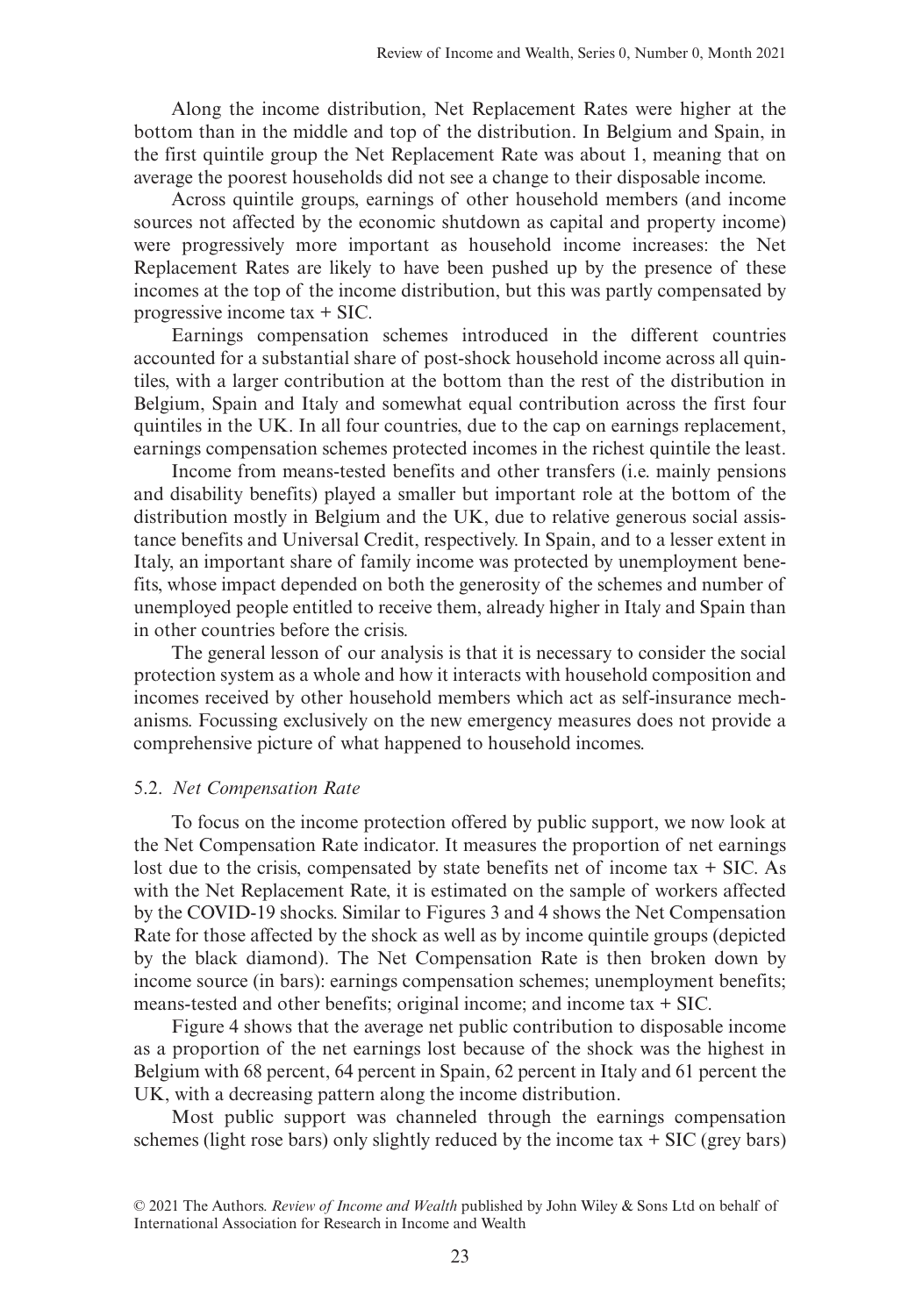Along the income distribution, Net Replacement Rates were higher at the bottom than in the middle and top of the distribution. In Belgium and Spain, in the first quintile group the Net Replacement Rate was about 1, meaning that on average the poorest households did not see a change to their disposable income.

Across quintile groups, earnings of other household members (and income sources not affected by the economic shutdown as capital and property income) were progressively more important as household income increases: the Net Replacement Rates are likely to have been pushed up by the presence of these incomes at the top of the income distribution, but this was partly compensated by progressive income tax + SIC.

Earnings compensation schemes introduced in the different countries accounted for a substantial share of post-shock household income across all quintiles, with a larger contribution at the bottom than the rest of the distribution in Belgium, Spain and Italy and somewhat equal contribution across the first four quintiles in the UK. In all four countries, due to the cap on earnings replacement, earnings compensation schemes protected incomes in the richest quintile the least.

Income from means-tested benefits and other transfers (i.e. mainly pensions and disability benefits) played a smaller but important role at the bottom of the distribution mostly in Belgium and the UK, due to relative generous social assistance benefits and Universal Credit, respectively. In Spain, and to a lesser extent in Italy, an important share of family income was protected by unemployment benefits, whose impact depended on both the generosity of the schemes and number of unemployed people entitled to receive them, already higher in Italy and Spain than in other countries before the crisis.

The general lesson of our analysis is that it is necessary to consider the social protection system as a whole and how it interacts with household composition and incomes received by other household members which act as self-insurance mechanisms. Focussing exclusively on the new emergency measures does not provide a comprehensive picture of what happened to household incomes.

## 5.2. *Net Compensation Rate*

To focus on the income protection offered by public support, we now look at the Net Compensation Rate indicator. It measures the proportion of net earnings lost due to the crisis, compensated by state benefits net of income  $tax + SIC$ . As with the Net Replacement Rate, it is estimated on the sample of workers affected by the COVID-19 shocks. Similar to Figures 3 and 4 shows the Net Compensation Rate for those affected by the shock as well as by income quintile groups (depicted by the black diamond). The Net Compensation Rate is then broken down by income source (in bars): earnings compensation schemes; unemployment benefits; means-tested and other benefits; original income; and income tax + SIC.

Figure 4 shows that the average net public contribution to disposable income as a proportion of the net earnings lost because of the shock was the highest in Belgium with 68 percent, 64 percent in Spain, 62 percent in Italy and 61 percent the UK, with a decreasing pattern along the income distribution.

Most public support was channeled through the earnings compensation schemes (light rose bars) only slightly reduced by the income  $tax + SIC$  (grey bars)

<sup>© 2021</sup> The Authors. *Review of Income and Wealth* published by John Wiley & Sons Ltd on behalf of International Association for Research in Income and Wealth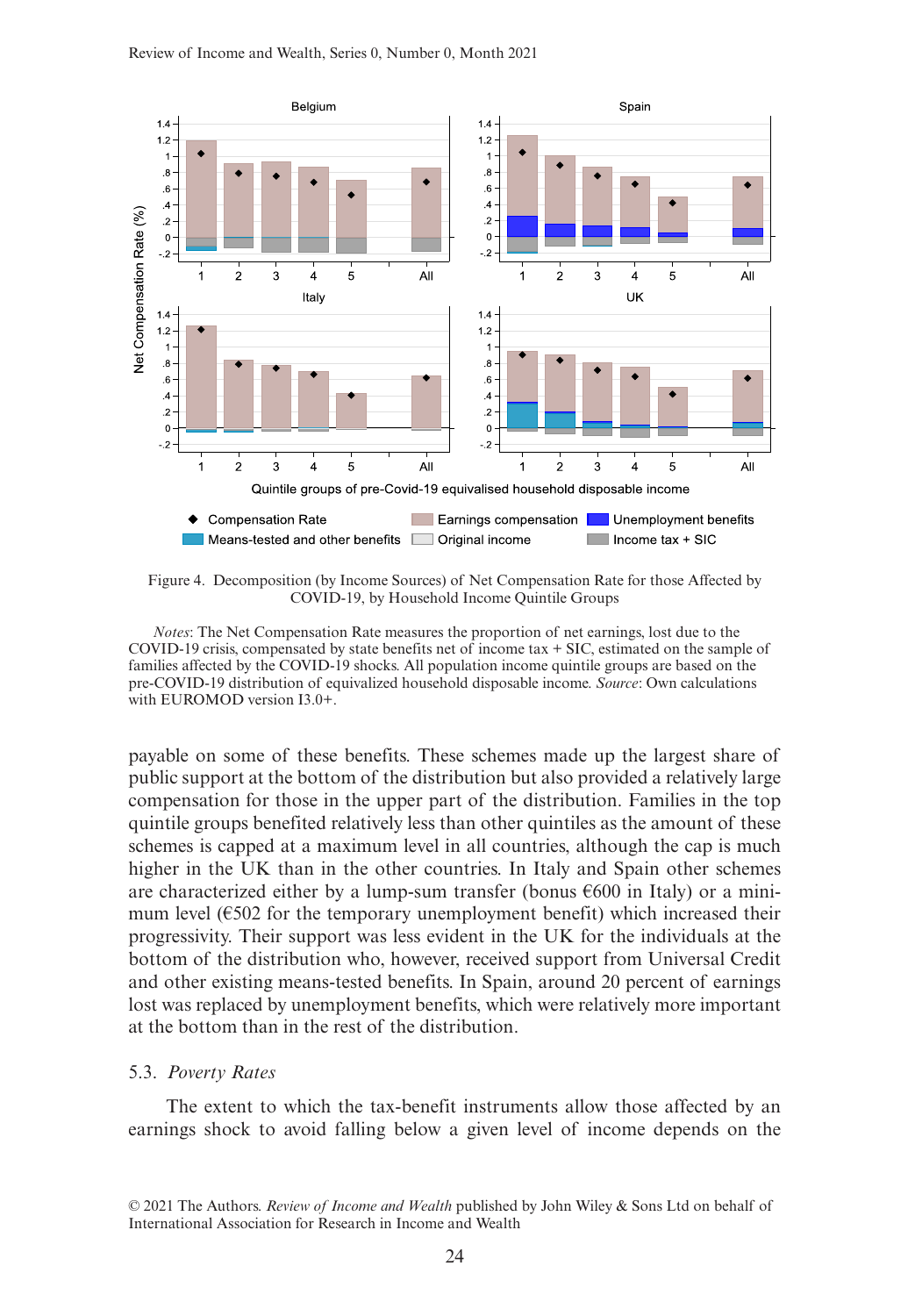

Figure 4. Decomposition (by Income Sources) of Net Compensation Rate for those Affected by COVID-19, by Household Income Quintile Groups

*Notes*: The Net Compensation Rate measures the proportion of net earnings, lost due to the COVID-19 crisis, compensated by state benefits net of income tax + SIC, estimated on the sample of families affected by the COVID-19 shocks. All population income quintile groups are based on the pre-COVID-19 distribution of equivalized household disposable income. *Source*: Own calculations with EUROMOD version I3.0+.

payable on some of these benefits. These schemes made up the largest share of public support at the bottom of the distribution but also provided a relatively large compensation for those in the upper part of the distribution. Families in the top quintile groups benefited relatively less than other quintiles as the amount of these schemes is capped at a maximum level in all countries, although the cap is much higher in the UK than in the other countries. In Italy and Spain other schemes are characterized either by a lump-sum transfer (bonus  $\epsilon$ 600 in Italy) or a minimum level  $(6502)$  for the temporary unemployment benefit) which increased their progressivity. Their support was less evident in the UK for the individuals at the bottom of the distribution who, however, received support from Universal Credit and other existing means-tested benefits. In Spain, around 20 percent of earnings lost was replaced by unemployment benefits, which were relatively more important at the bottom than in the rest of the distribution.

## 5.3. *Poverty Rates*

The extent to which the tax-benefit instruments allow those affected by an earnings shock to avoid falling below a given level of income depends on the

<sup>© 2021</sup> The Authors. *Review of Income and Wealth* published by John Wiley & Sons Ltd on behalf of International Association for Research in Income and Wealth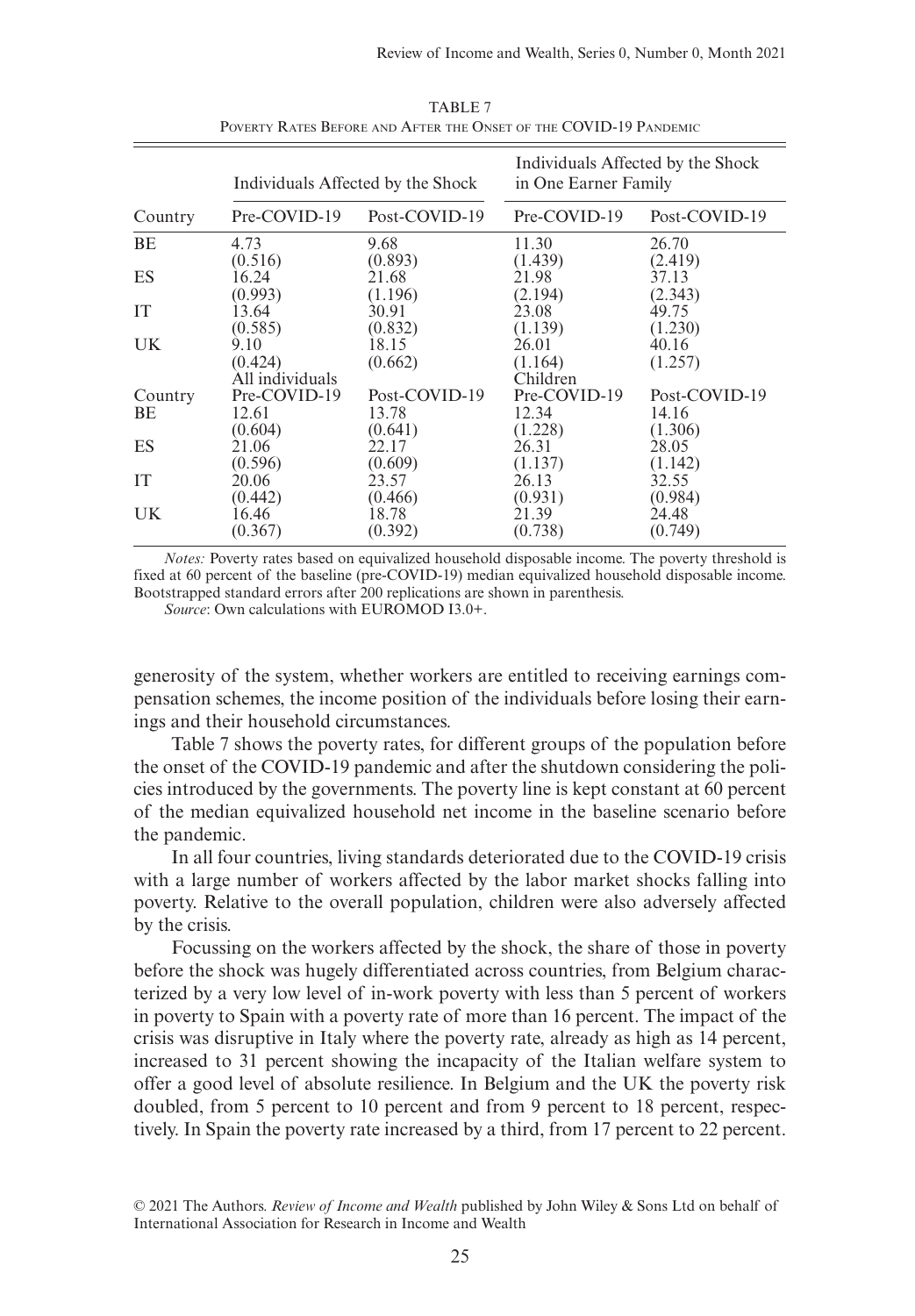|               |                                    | Individuals Affected by the Shock | Individuals Affected by the Shock<br>in One Earner Family |                                   |  |
|---------------|------------------------------------|-----------------------------------|-----------------------------------------------------------|-----------------------------------|--|
| Country       | Pre-COVID-19                       | Post-COVID-19                     | Pre-COVID-19                                              | Post-COVID-19                     |  |
| BE            | 4.73                               | 9.68                              | 11.30                                                     | 26.70                             |  |
|               | (0.516)                            | (0.893)                           | (1.439)                                                   | (2.419)                           |  |
| ES            | 16.24                              | 21.68                             | 21.98                                                     | 37.13                             |  |
|               | (0.993)                            | (1.196)                           | (2.194)                                                   | (2.343)                           |  |
| IT            | 13.64                              | 30.91                             | 23.08                                                     | 49.75                             |  |
|               | (0.585)                            | (0.832)                           | (1.139)                                                   | (1.230)                           |  |
| UK.           | 9.10<br>(0.424)<br>All individuals | 18.15<br>(0.662)                  | 26.01<br>(1.164)<br>Children                              | 40.16<br>(1.257)                  |  |
| Country<br>BE | Pre-COVID-19<br>12.61<br>(0.604)   | Post-COVID-19<br>13.78<br>(0.641) | Pre-COVID-19<br>12.34<br>(1.228)                          | Post-COVID-19<br>14.16<br>(1.306) |  |
| ES            | 21.06                              | 22.17                             | 26.31                                                     | 28.05                             |  |
|               | (0.596)                            | (0.609)                           | (1.137)                                                   | (1.142)                           |  |
| IT            | 20.06                              | 23.57                             | 26.13                                                     | 32.55                             |  |
|               | (0.442)                            | (0.466)                           | (0.931)                                                   | (0.984)                           |  |
| UK.           | 16.46                              | 18.78                             | 21.39                                                     | 24.48                             |  |
|               | (0.367)                            | (0.392)                           | (0.738)                                                   | (0.749)                           |  |

TABLE 7 Poverty Rates Before and After the Onset of the COVID-19 Pandemic

*Notes:* Poverty rates based on equivalized household disposable income. The poverty threshold is fixed at 60 percent of the baseline (pre-COVID-19) median equivalized household disposable income. Bootstrapped standard errors after 200 replications are shown in parenthesis.

*Source*: Own calculations with EUROMOD I3.0+.

generosity of the system, whether workers are entitled to receiving earnings compensation schemes, the income position of the individuals before losing their earnings and their household circumstances.

Table 7 shows the poverty rates, for different groups of the population before the onset of the COVID-19 pandemic and after the shutdown considering the policies introduced by the governments. The poverty line is kept constant at 60 percent of the median equivalized household net income in the baseline scenario before the pandemic.

In all four countries, living standards deteriorated due to the COVID-19 crisis with a large number of workers affected by the labor market shocks falling into poverty. Relative to the overall population, children were also adversely affected by the crisis.

Focussing on the workers affected by the shock, the share of those in poverty before the shock was hugely differentiated across countries, from Belgium characterized by a very low level of in-work poverty with less than 5 percent of workers in poverty to Spain with a poverty rate of more than 16 percent. The impact of the crisis was disruptive in Italy where the poverty rate, already as high as 14 percent, increased to 31 percent showing the incapacity of the Italian welfare system to offer a good level of absolute resilience. In Belgium and the UK the poverty risk doubled, from 5 percent to 10 percent and from 9 percent to 18 percent, respectively. In Spain the poverty rate increased by a third, from 17 percent to 22 percent.

<sup>© 2021</sup> The Authors. *Review of Income and Wealth* published by John Wiley & Sons Ltd on behalf of International Association for Research in Income and Wealth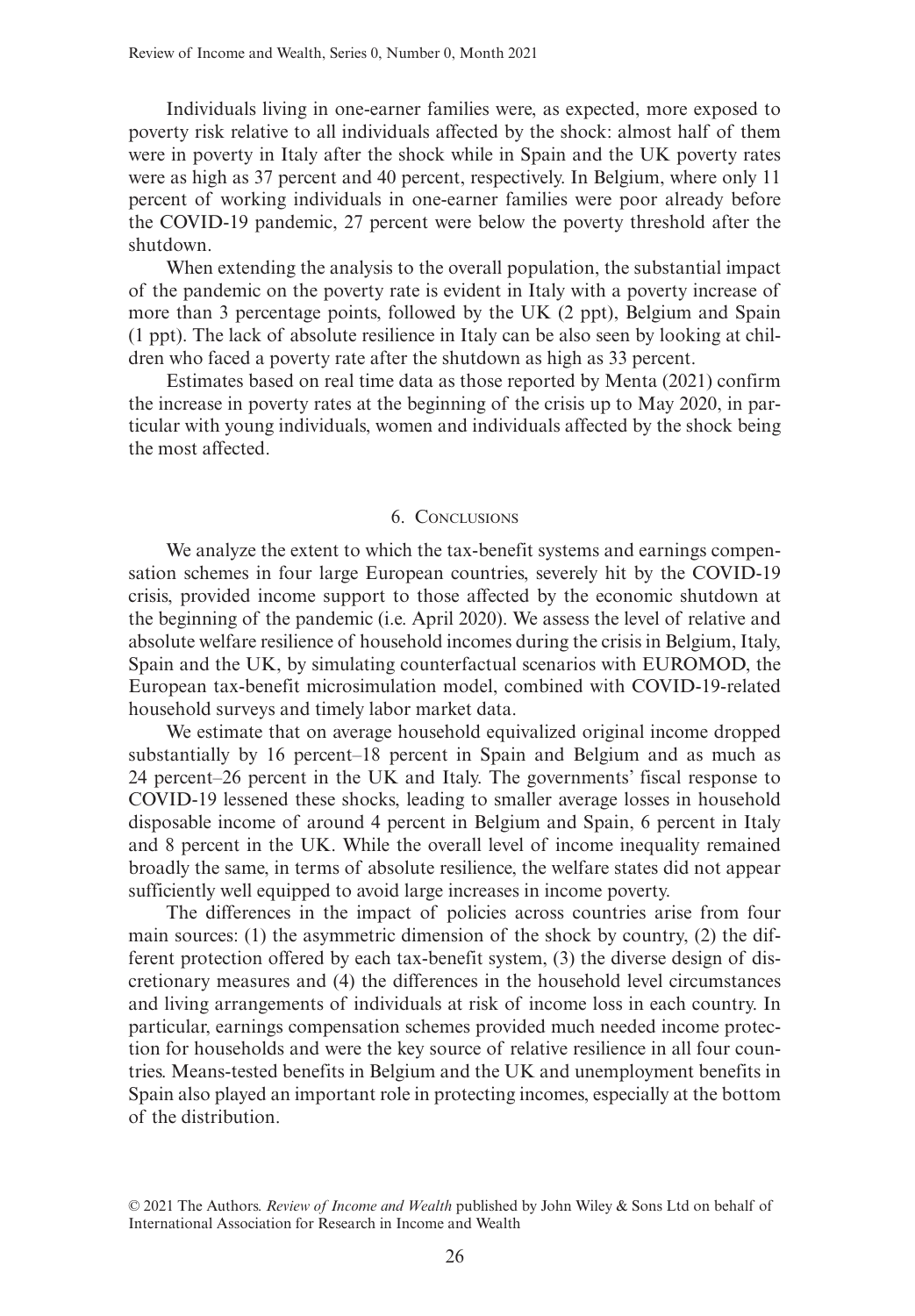Individuals living in one-earner families were, as expected, more exposed to poverty risk relative to all individuals affected by the shock: almost half of them were in poverty in Italy after the shock while in Spain and the UK poverty rates were as high as 37 percent and 40 percent, respectively. In Belgium, where only 11 percent of working individuals in one-earner families were poor already before the COVID-19 pandemic, 27 percent were below the poverty threshold after the shutdown.

When extending the analysis to the overall population, the substantial impact of the pandemic on the poverty rate is evident in Italy with a poverty increase of more than 3 percentage points, followed by the UK (2 ppt), Belgium and Spain (1 ppt). The lack of absolute resilience in Italy can be also seen by looking at children who faced a poverty rate after the shutdown as high as 33 percent.

Estimates based on real time data as those reported by Menta (2021) confirm the increase in poverty rates at the beginning of the crisis up to May 2020, in particular with young individuals, women and individuals affected by the shock being the most affected.

## 6. Conclusions

We analyze the extent to which the tax-benefit systems and earnings compensation schemes in four large European countries, severely hit by the COVID-19 crisis, provided income support to those affected by the economic shutdown at the beginning of the pandemic (i.e. April 2020). We assess the level of relative and absolute welfare resilience of household incomes during the crisis in Belgium, Italy, Spain and the UK, by simulating counterfactual scenarios with EUROMOD, the European tax-benefit microsimulation model, combined with COVID-19-related household surveys and timely labor market data.

We estimate that on average household equivalized original income dropped substantially by 16 percent–18 percent in Spain and Belgium and as much as 24 percent–26 percent in the UK and Italy. The governments' fiscal response to COVID-19 lessened these shocks, leading to smaller average losses in household disposable income of around 4 percent in Belgium and Spain, 6 percent in Italy and 8 percent in the UK. While the overall level of income inequality remained broadly the same, in terms of absolute resilience, the welfare states did not appear sufficiently well equipped to avoid large increases in income poverty.

The differences in the impact of policies across countries arise from four main sources: (1) the asymmetric dimension of the shock by country, (2) the different protection offered by each tax-benefit system, (3) the diverse design of discretionary measures and (4) the differences in the household level circumstances and living arrangements of individuals at risk of income loss in each country. In particular, earnings compensation schemes provided much needed income protection for households and were the key source of relative resilience in all four countries. Means-tested benefits in Belgium and the UK and unemployment benefits in Spain also played an important role in protecting incomes, especially at the bottom of the distribution.

<sup>© 2021</sup> The Authors. *Review of Income and Wealth* published by John Wiley & Sons Ltd on behalf of International Association for Research in Income and Wealth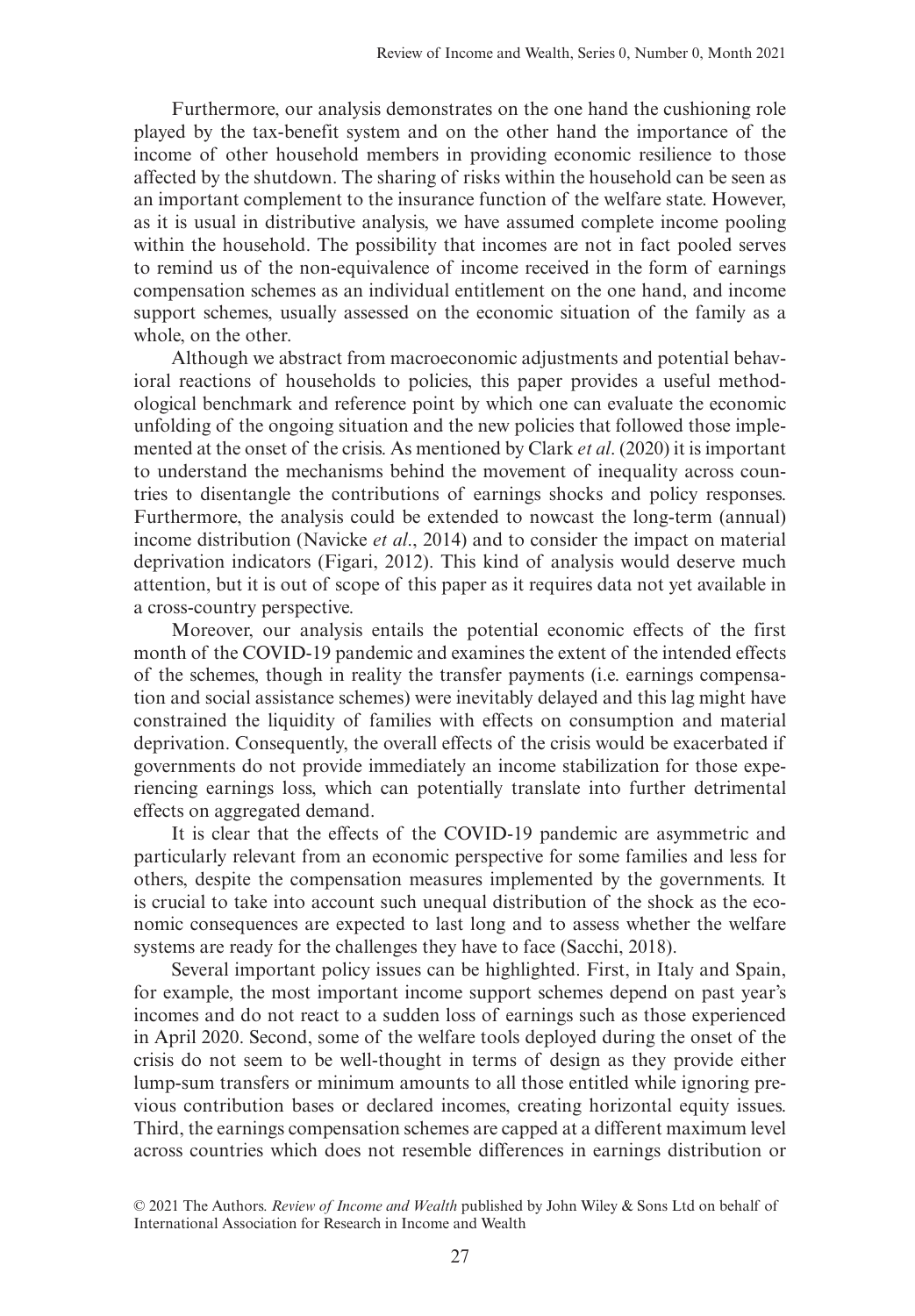Furthermore, our analysis demonstrates on the one hand the cushioning role played by the tax-benefit system and on the other hand the importance of the income of other household members in providing economic resilience to those affected by the shutdown. The sharing of risks within the household can be seen as an important complement to the insurance function of the welfare state. However, as it is usual in distributive analysis, we have assumed complete income pooling within the household. The possibility that incomes are not in fact pooled serves to remind us of the non-equivalence of income received in the form of earnings compensation schemes as an individual entitlement on the one hand, and income support schemes, usually assessed on the economic situation of the family as a whole, on the other.

Although we abstract from macroeconomic adjustments and potential behavioral reactions of households to policies, this paper provides a useful methodological benchmark and reference point by which one can evaluate the economic unfolding of the ongoing situation and the new policies that followed those implemented at the onset of the crisis. As mentioned by Clark *et al*. (2020) it is important to understand the mechanisms behind the movement of inequality across countries to disentangle the contributions of earnings shocks and policy responses. Furthermore, the analysis could be extended to nowcast the long-term (annual) income distribution (Navicke *et al*., 2014) and to consider the impact on material deprivation indicators (Figari, 2012). This kind of analysis would deserve much attention, but it is out of scope of this paper as it requires data not yet available in a cross-country perspective.

Moreover, our analysis entails the potential economic effects of the first month of the COVID-19 pandemic and examines the extent of the intended effects of the schemes, though in reality the transfer payments (i.e. earnings compensation and social assistance schemes) were inevitably delayed and this lag might have constrained the liquidity of families with effects on consumption and material deprivation. Consequently, the overall effects of the crisis would be exacerbated if governments do not provide immediately an income stabilization for those experiencing earnings loss, which can potentially translate into further detrimental effects on aggregated demand.

It is clear that the effects of the COVID-19 pandemic are asymmetric and particularly relevant from an economic perspective for some families and less for others, despite the compensation measures implemented by the governments. It is crucial to take into account such unequal distribution of the shock as the economic consequences are expected to last long and to assess whether the welfare systems are ready for the challenges they have to face (Sacchi, 2018).

Several important policy issues can be highlighted. First, in Italy and Spain, for example, the most important income support schemes depend on past year's incomes and do not react to a sudden loss of earnings such as those experienced in April 2020. Second, some of the welfare tools deployed during the onset of the crisis do not seem to be well-thought in terms of design as they provide either lump-sum transfers or minimum amounts to all those entitled while ignoring previous contribution bases or declared incomes, creating horizontal equity issues. Third, the earnings compensation schemes are capped at a different maximum level across countries which does not resemble differences in earnings distribution or

<sup>© 2021</sup> The Authors. *Review of Income and Wealth* published by John Wiley & Sons Ltd on behalf of International Association for Research in Income and Wealth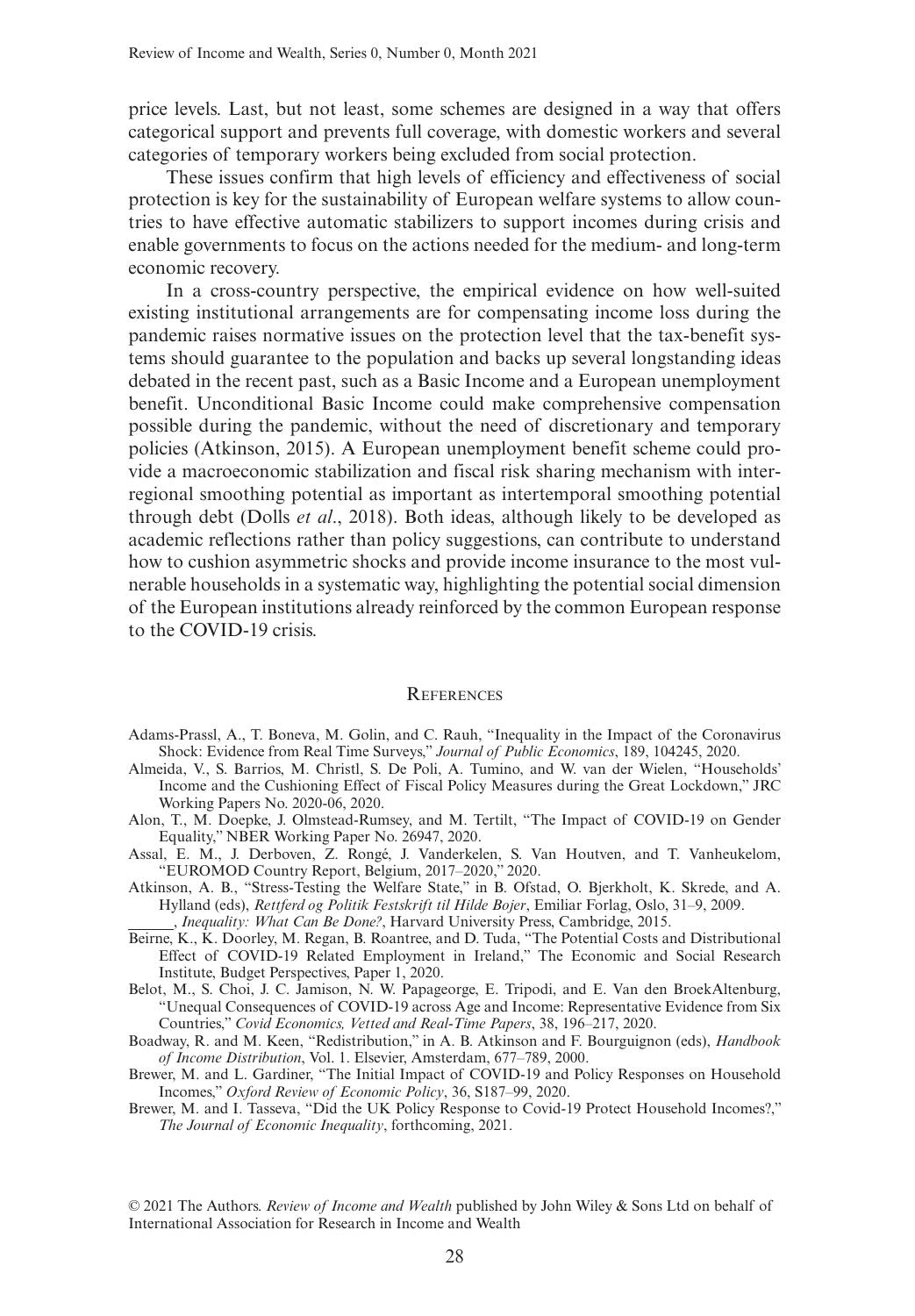price levels. Last, but not least, some schemes are designed in a way that offers categorical support and prevents full coverage, with domestic workers and several categories of temporary workers being excluded from social protection.

These issues confirm that high levels of efficiency and effectiveness of social protection is key for the sustainability of European welfare systems to allow countries to have effective automatic stabilizers to support incomes during crisis and enable governments to focus on the actions needed for the medium- and long-term economic recovery.

In a cross-country perspective, the empirical evidence on how well-suited existing institutional arrangements are for compensating income loss during the pandemic raises normative issues on the protection level that the tax-benefit systems should guarantee to the population and backs up several longstanding ideas debated in the recent past, such as a Basic Income and a European unemployment benefit. Unconditional Basic Income could make comprehensive compensation possible during the pandemic, without the need of discretionary and temporary policies (Atkinson, 2015). A European unemployment benefit scheme could provide a macroeconomic stabilization and fiscal risk sharing mechanism with interregional smoothing potential as important as intertemporal smoothing potential through debt (Dolls *et al*., 2018). Both ideas, although likely to be developed as academic reflections rather than policy suggestions, can contribute to understand how to cushion asymmetric shocks and provide income insurance to the most vulnerable households in a systematic way, highlighting the potential social dimension of the European institutions already reinforced by the common European response to the COVID-19 crisis.

## **REFERENCES**

- Adams-Prassl, A., T. Boneva, M. Golin, and C. Rauh, "Inequality in the Impact of the Coronavirus Shock: Evidence from Real Time Surveys," *Journal of Public Economics*, 189, 104245, 2020.
- Almeida, V., S. Barrios, M. Christl, S. De Poli, A. Tumino, and W. van der Wielen, "Households' Income and the Cushioning Effect of Fiscal Policy Measures during the Great Lockdown," JRC Working Papers No. 2020-06, 2020.
- Alon, T., M. Doepke, J. Olmstead-Rumsey, and M. Tertilt, "The Impact of COVID-19 on Gender Equality," NBER Working Paper No. 26947, 2020.
- Assal, E. M., J. Derboven, Z. Rongé, J. Vanderkelen, S. Van Houtven, and T. Vanheukelom, "EUROMOD Country Report, Belgium, 2017–2020," 2020.
- Atkinson, A. B., "Stress-Testing the Welfare State," in B. Ofstad, O. Bjerkholt, K. Skrede, and A. Hylland (eds), *Rettferd og Politik Festskrift til Hilde Bojer*, Emiliar Forlag, Oslo, 31–9, 2009. , *Inequality: What Can Be Done?*, Harvard University Press, Cambridge, 2015.
- Beirne, K., K. Doorley, M. Regan, B. Roantree, and D. Tuda, "The Potential Costs and Distributional Effect of COVID-19 Related Employment in Ireland," The Economic and Social Research Institute, Budget Perspectives, Paper 1, 2020.
- Belot, M., S. Choi, J. C. Jamison, N. W. Papageorge, E. Tripodi, and E. Van den BroekAltenburg, "Unequal Consequences of COVID-19 across Age and Income: Representative Evidence from Six Countries," *Covid Economics, Vetted and Real-Time Papers*, 38, 196–217, 2020.
- Boadway, R. and M. Keen, "Redistribution," in A. B. Atkinson and F. Bourguignon (eds), *Handbook of Income Distribution*, Vol. 1. Elsevier, Amsterdam, 677–789, 2000.
- Brewer, M. and L. Gardiner, "The Initial Impact of COVID-19 and Policy Responses on Household Incomes," *Oxford Review of Economic Policy*, 36, S187–99, 2020.
- Brewer, M. and I. Tasseva, "Did the UK Policy Response to Covid-19 Protect Household Incomes?," *The Journal of Economic Inequality*, forthcoming, 2021.

© 2021 The Authors. *Review of Income and Wealth* published by John Wiley & Sons Ltd on behalf of International Association for Research in Income and Wealth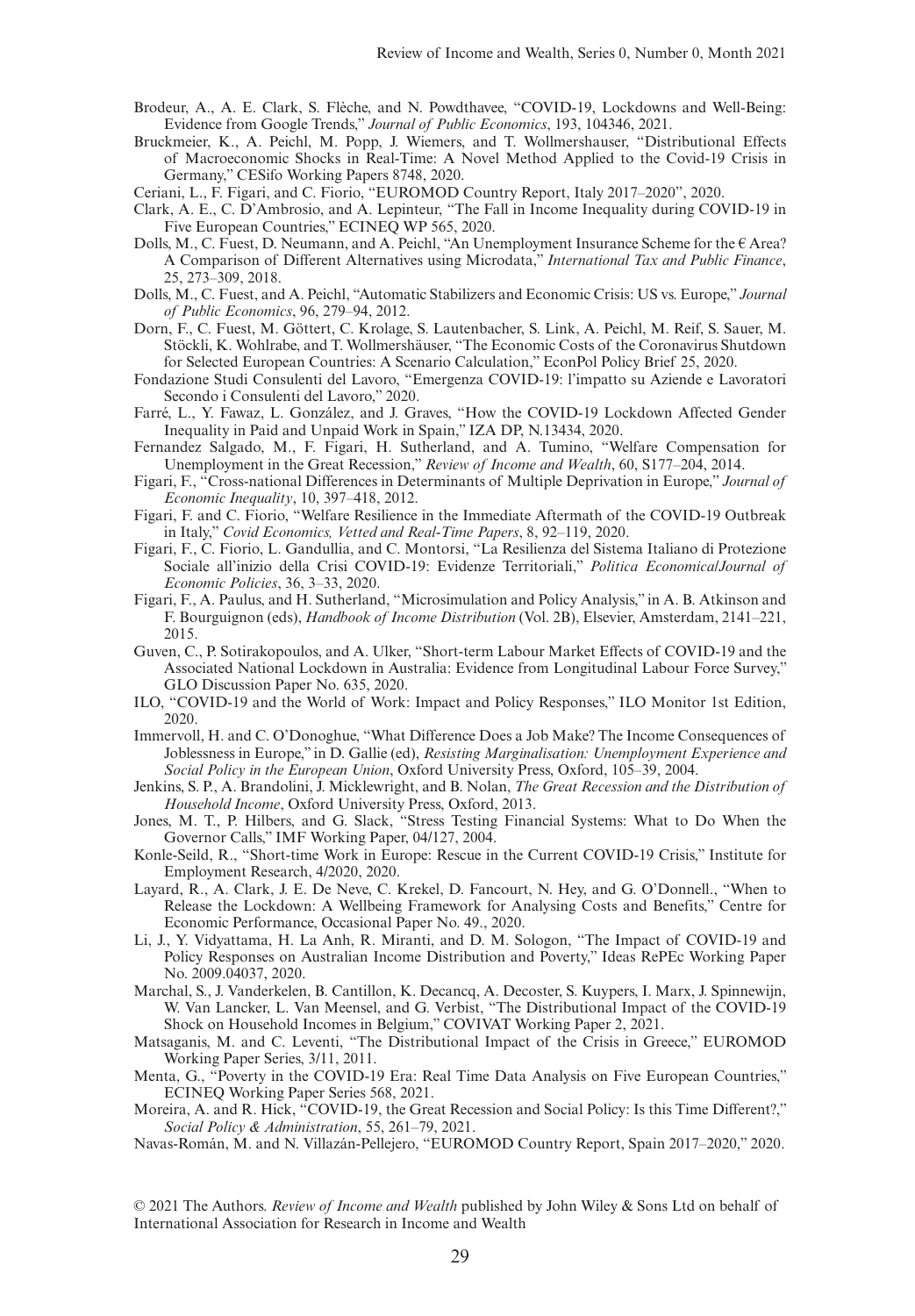- Brodeur, A., A. E. Clark, S. Flèche, and N. Powdthavee, "COVID-19, Lockdowns and Well-Being: Evidence from Google Trends," *Journal of Public Economics*, 193, 104346, 2021.
- Bruckmeier, K., A. Peichl, M. Popp, J. Wiemers, and T. Wollmershauser, "Distributional Effects of Macroeconomic Shocks in Real-Time: A Novel Method Applied to the Covid-19 Crisis in Germany," CESifo Working Papers 8748, 2020.
- Ceriani, L., F. Figari, and C. Fiorio, "EUROMOD Country Report, Italy 2017–2020", 2020.
- Clark, A. E., C. D'Ambrosio, and A. Lepinteur, "The Fall in Income Inequality during COVID-19 in Five European Countries," ECINEQ WP 565, 2020.
- Dolls, M., C. Fuest, D. Neumann, and A. Peichl, "An Unemployment Insurance Scheme for the € Area? A Comparison of Different Alternatives using Microdata," *International Tax and Public Finance*, 25, 273–309, 2018.
- Dolls, M., C. Fuest, and A. Peichl, "Automatic Stabilizers and Economic Crisis: US vs. Europe," *Journal of Public Economics*, 96, 279–94, 2012.
- Dorn, F., C. Fuest, M. Göttert, C. Krolage, S. Lautenbacher, S. Link, A. Peichl, M. Reif, S. Sauer, M. Stöckli, K. Wohlrabe, and T. Wollmershäuser, "The Economic Costs of the Coronavirus Shutdown for Selected European Countries: A Scenario Calculation," EconPol Policy Brief 25, 2020.
- Fondazione Studi Consulenti del Lavoro, "Emergenza COVID-19: l'impatto su Aziende e Lavoratori Secondo i Consulenti del Lavoro," 2020.
- Farré, L., Y. Fawaz, L. González, and J. Graves, "How the COVID-19 Lockdown Affected Gender Inequality in Paid and Unpaid Work in Spain," IZA DP, N.13434, 2020.
- Fernandez Salgado, M., F. Figari, H. Sutherland, and A. Tumino, "Welfare Compensation for Unemployment in the Great Recession," *Review of Income and Wealth*, 60, S177–204, 2014.
- Figari, F., "Cross-national Differences in Determinants of Multiple Deprivation in Europe," *Journal of Economic Inequality*, 10, 397–418, 2012.
- Figari, F. and C. Fiorio, "Welfare Resilience in the Immediate Aftermath of the COVID-19 Outbreak in Italy," *Covid Economics, Vetted and Real-Time Papers*, 8, 92–119, 2020.
- Figari, F., C. Fiorio, L. Gandullia, and C. Montorsi, "La Resilienza del Sistema Italiano di Protezione Sociale all'inizio della Crisi COVID-19: Evidenze Territoriali," *Politica Economica/Journal of Economic Policies*, 36, 3–33, 2020.
- Figari, F., A. Paulus, and H. Sutherland, "Microsimulation and Policy Analysis," in A. B. Atkinson and F. Bourguignon (eds), *Handbook of Income Distribution* (Vol. 2B), Elsevier, Amsterdam, 2141–221, 2015.
- Guven, C., P. Sotirakopoulos, and A. Ulker, "Short-term Labour Market Effects of COVID-19 and the Associated National Lockdown in Australia: Evidence from Longitudinal Labour Force Survey," GLO Discussion Paper No. 635, 2020.
- ILO, "COVID-19 and the World of Work: Impact and Policy Responses," ILO Monitor 1st Edition, 2020.
- Immervoll, H. and C. O'Donoghue, "What Difference Does a Job Make? The Income Consequences of Joblessness in Europe," in D. Gallie (ed), *Resisting Marginalisation: Unemployment Experience and Social Policy in the European Union*, Oxford University Press, Oxford, 105–39, 2004.
- Jenkins, S. P., A. Brandolini, J. Micklewright, and B. Nolan, *The Great Recession and the Distribution of Household Income*, Oxford University Press, Oxford, 2013.
- Jones, M. T., P. Hilbers, and G. Slack, "Stress Testing Financial Systems: What to Do When the Governor Calls," IMF Working Paper, 04/127, 2004.
- Konle-Seild, R., "Short-time Work in Europe: Rescue in the Current COVID-19 Crisis," Institute for Employment Research, 4/2020, 2020.
- Layard, R., A. Clark, J. E. De Neve, C. Krekel, D. Fancourt, N. Hey, and G. O'Donnell., "When to Release the Lockdown: A Wellbeing Framework for Analysing Costs and Benefits," Centre for Economic Performance, Occasional Paper No. 49., 2020.
- Li, J., Y. Vidyattama, H. La Anh, R. Miranti, and D. M. Sologon, "The Impact of COVID-19 and Policy Responses on Australian Income Distribution and Poverty," Ideas RePEc Working Paper No. 2009.04037, 2020.
- Marchal, S., J. Vanderkelen, B. Cantillon, K. Decancq, A. Decoster, S. Kuypers, I. Marx, J. Spinnewijn, W. Van Lancker, L. Van Meensel, and G. Verbist, "The Distributional Impact of the COVID-19 Shock on Household Incomes in Belgium," COVIVAT Working Paper 2, 2021.
- Matsaganis, M. and C. Leventi, "The Distributional Impact of the Crisis in Greece," EUROMOD Working Paper Series, 3/11, 2011.
- Menta, G., "Poverty in the COVID-19 Era: Real Time Data Analysis on Five European Countries," ECINEQ Working Paper Series 568, 2021.
- Moreira, A. and R. Hick, "COVID-19, the Great Recession and Social Policy: Is this Time Different?," *Social Policy & Administration*, 55, 261–79, 2021.
- Navas-Román, M. and N. Villazán-Pellejero, "EUROMOD Country Report, Spain 2017–2020," 2020.

© 2021 The Authors. *Review of Income and Wealth* published by John Wiley & Sons Ltd on behalf of International Association for Research in Income and Wealth